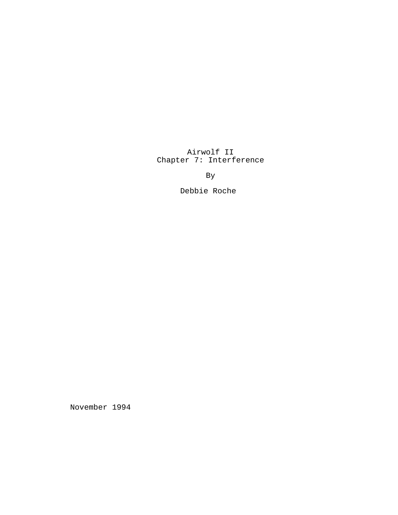Airwolf II Chapter 7: Interference

By

Debbie Roche

November 1994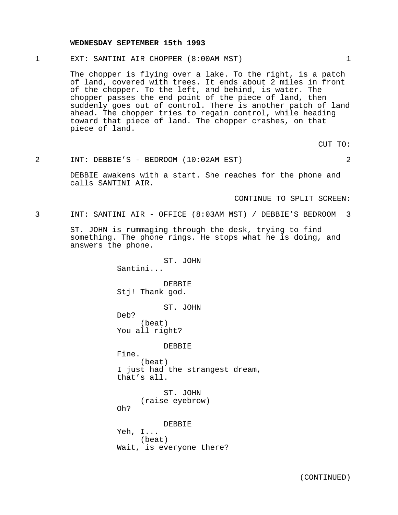#### **WEDNESDAY SEPTEMBER 15th 1993**

1 EXT: SANTINI AIR CHOPPER (8:00AM MST) 1

The chopper is flying over a lake. To the right, is a patch of land, covered with trees. It ends about 2 miles in front of the chopper. To the left, and behind, is water. The chopper passes the end point of the piece of land, then suddenly goes out of control. There is another patch of land ahead. The chopper tries to regain control, while heading toward that piece of land. The chopper crashes, on that piece of land.

CUT TO:

# 2 INT: DEBBIE'S - BEDROOM (10:02AM EST) 2

DEBBIE awakens with a start. She reaches for the phone and calls SANTINI AIR.

CONTINUE TO SPLIT SCREEN:

3 INT: SANTINI AIR - OFFICE (8:03AM MST) / DEBBIE'S BEDROOM 3

ST. JOHN is rummaging through the desk, trying to find something. The phone rings. He stops what he is doing, and answers the phone.

> ST. JOHN Santini... DEBBIE Stj! Thank god. ST. JOHN Deb? (beat) You all right? DEBBIE Fine. (beat) I just had the strangest dream, that's all. ST. JOHN (raise eyebrow) Oh? DEBBIE Yeh, I... (beat)

Wait, is everyone there?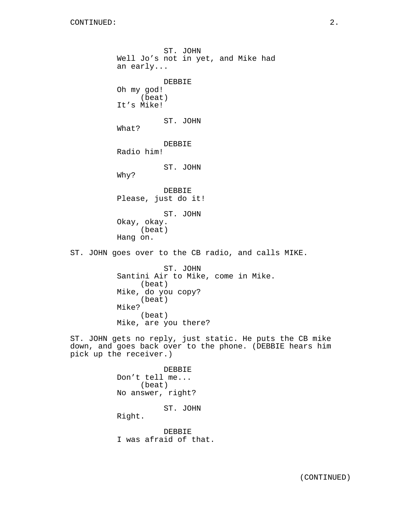ST. JOHN Well Jo's not in yet, and Mike had an early... DEBBIE Oh my god! (beat) It's Mike! ST. JOHN What? DEBBIE Radio him! ST. JOHN Why? DEBBIE Please, just do it! ST. JOHN Okay, okay. (beat) Hang on. ST. JOHN goes over to the CB radio, and calls MIKE. ST. JOHN Santini Air to Mike, come in Mike. (beat) Mike, do you copy? (beat) Mike? (beat) Mike, are you there? ST. JOHN gets no reply, just static. He puts the CB mike down, and goes back over to the phone. (DEBBIE hears him pick up the receiver.) DEBBIE Don't tell me... (beat) No answer, right? ST. JOHN Right.

> DEBBIE I was afraid of that.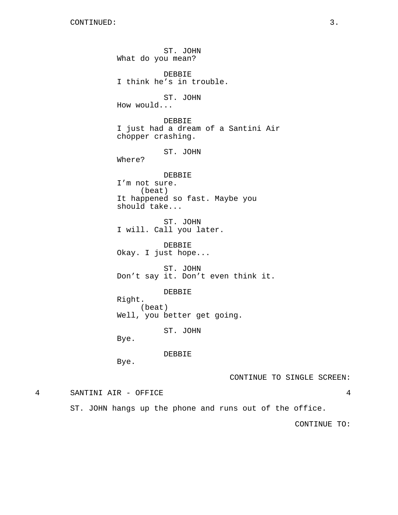ST. JOHN What do you mean? DEBBIE I think he's in trouble. ST. JOHN How would... DEBBIE I just had a dream of a Santini Air chopper crashing. ST. JOHN Where? DEBBIE I'm not sure. (beat) It happened so fast. Maybe you should take... ST. JOHN I will. Call you later. DEBBIE Okay. I just hope... ST. JOHN Don't say it. Don't even think it. DEBBIE Right. (beat) Well, you better get going. ST. JOHN Bye. DEBBIE Bye. CONTINUE TO SINGLE SCREEN: 4 SANTINI AIR - OFFICE 4 ST. JOHN hangs up the phone and runs out of the office.

CONTINUE TO: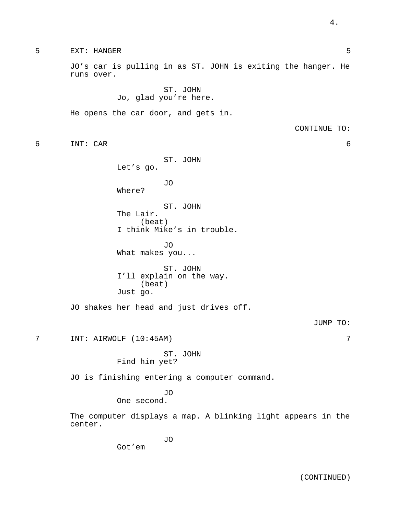5 EXT: HANGER 5 JO's car is pulling in as ST. JOHN is exiting the hanger. He runs over. ST. JOHN Jo, glad you're here. He opens the car door, and gets in. CONTINUE TO: 6 INT: CAR 6 ST. JOHN Let's go. JO Where? ST. JOHN The Lair. (beat) I think Mike's in trouble. JO What makes you... ST. JOHN I'll explain on the way. (beat) Just go. JO shakes her head and just drives off. JUMP TO: 7 INT: AIRWOLF (10:45AM) 7 ST. JOHN Find him yet? JO is finishing entering a computer command. JO One second. The computer displays a map. A blinking light appears in the center. JO Got'em

4.

(CONTINUED)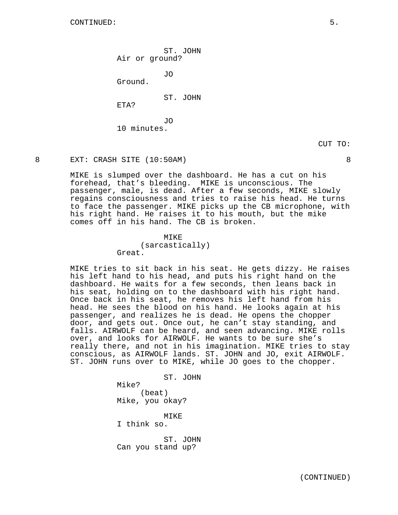ST. JOHN Air or ground?

JO

Ground.

ST. JOHN

ETA?

JO 10 minutes.

### 8 EXT: CRASH SITE (10:50AM) 8

MIKE is slumped over the dashboard. He has a cut on his forehead, that's bleeding. MIKE is unconscious. The passenger, male, is dead. After a few seconds, MIKE slowly regains consciousness and tries to raise his head. He turns to face the passenger. MIKE picks up the CB microphone, with his right hand. He raises it to his mouth, but the mike comes off in his hand. The CB is broken.

#### **MTKE**

(sarcastically) Great.

MIKE tries to sit back in his seat. He gets dizzy. He raises his left hand to his head, and puts his right hand on the dashboard. He waits for a few seconds, then leans back in his seat, holding on to the dashboard with his right hand. Once back in his seat, he removes his left hand from his head. He sees the blood on his hand. He looks again at his passenger, and realizes he is dead. He opens the chopper door, and gets out. Once out, he can't stay standing, and falls. AIRWOLF can be heard, and seen advancing. MIKE rolls over, and looks for AIRWOLF. He wants to be sure she's really there, and not in his imagination. MIKE tries to stay conscious, as AIRWOLF lands. ST. JOHN and JO, exit AIRWOLF. ST. JOHN runs over to MIKE, while JO goes to the chopper.

> ST. JOHN Mike? (beat) Mike, you okay?

I think so.

ST. JOHN Can you stand up?

MIKE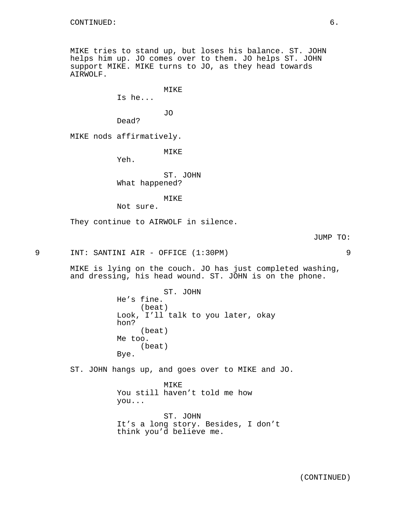MIKE tries to stand up, but loses his balance. ST. JOHN helps him up. JO comes over to them. JO helps ST. JOHN support MIKE. MIKE turns to JO, as they head towards AIRWOLF.

MIKE

Is he...

JO

Dead?

MIKE nods affirmatively.

MIKE

Yeh.

ST. JOHN What happened?

MIKE

Not sure.

They continue to AIRWOLF in silence.

JUMP TO:

9 INT: SANTINI AIR - OFFICE (1:30PM) 9

MIKE is lying on the couch. JO has just completed washing, and dressing, his head wound. ST. JOHN is on the phone.

> ST. JOHN He's fine. (beat) Look, I'll talk to you later, okay hon? (beat) Me too. (beat) Bye.

ST. JOHN hangs up, and goes over to MIKE and JO.

MIKE You still haven't told me how you...

ST. JOHN It's a long story. Besides, I don't think you'd believe me.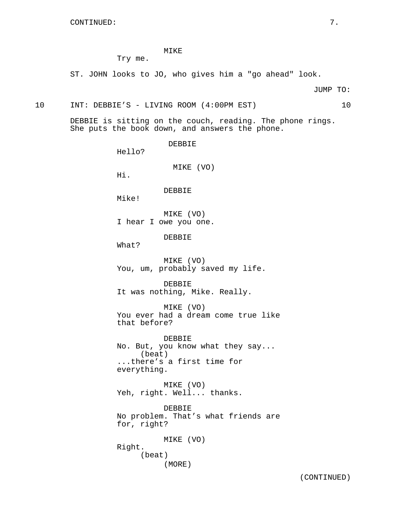# MIKE

Try me.

ST. JOHN looks to JO, who gives him a "go ahead" look.

JUMP TO:

10 INT: DEBBIE'S - LIVING ROOM (4:00PM EST) 10

DEBBIE is sitting on the couch, reading. The phone rings. She puts the book down, and answers the phone.

> DEBBIE Hello? MIKE (VO) Hi. DEBBIE Mike! MIKE (VO) I hear I owe you one. DEBBIE What? MIKE (VO) You, um, probably saved my life. DEBBIE It was nothing, Mike. Really. MIKE (VO) You ever had a dream come true like that before? DEBBIE No. But, you know what they say... (beat) ...there's a first time for everything. MIKE (VO) Yeh, right. Well... thanks. DEBBIE No problem. That's what friends are for, right? MIKE (VO) Right. (beat) (MORE)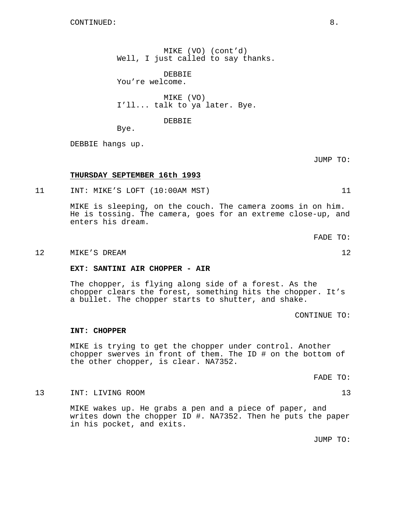MIKE (VO) (cont'd) Well, I just called to say thanks.

DEBBIE You're welcome.

MIKE (VO) I'll... talk to ya later. Bye.

#### DEBBIE

Bye.

DEBBIE hangs up.

JUMP TO:

# **THURSDAY SEPTEMBER 16th 1993**

11 INT: MIKE'S LOFT (10:00AM MST) 11

MIKE is sleeping, on the couch. The camera zooms in on him. He is tossing. The camera, goes for an extreme close-up, and enters his dream.

FADE TO:

#### 12 MIKE'S DREAM 22

**EXT: SANTINI AIR CHOPPER - AIR**

The chopper, is flying along side of a forest. As the chopper clears the forest, something hits the chopper. It's a bullet. The chopper starts to shutter, and shake.

CONTINUE TO:

#### **INT: CHOPPER**

MIKE is trying to get the chopper under control. Another chopper swerves in front of them. The ID # on the bottom of the other chopper, is clear. NA7352.

FADE TO:

#### 13 INT: LIVING ROOM 13

MIKE wakes up. He grabs a pen and a piece of paper, and writes down the chopper ID #. NA7352. Then he puts the paper in his pocket, and exits.

JUMP TO: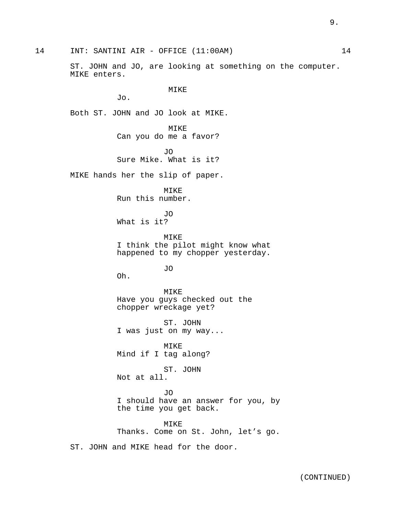ST. JOHN and JO, are looking at something on the computer. MIKE enters.

MIKE

Jo.

Both ST. JOHN and JO look at MIKE.

MIKE Can you do me a favor?

JO Sure Mike. What is it?

MIKE hands her the slip of paper.

MIKE Run this number.

JO What is it?

MIKE I think the pilot might know what happened to my chopper yesterday.

JO

Oh.

MIKE Have you guys checked out the chopper wreckage yet?

ST. JOHN I was just on my way...

MIKE Mind if I tag along?

ST. JOHN Not at all.

JO I should have an answer for you, by the time you get back.

MIKE Thanks. Come on St. John, let's go.

ST. JOHN and MIKE head for the door.

9.

14 INT: SANTINI AIR - OFFICE (11:00AM) 14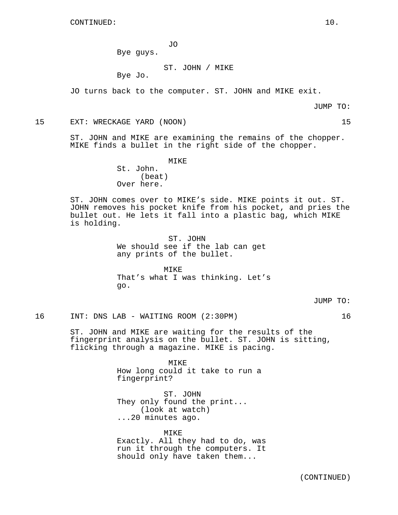JO

Bye guys.

# ST. JOHN / MIKE

Bye Jo.

JO turns back to the computer. ST. JOHN and MIKE exit.

JUMP TO:

15 EXT: WRECKAGE YARD (NOON) 15

ST. JOHN and MIKE are examining the remains of the chopper. MIKE finds a bullet in the right side of the chopper.

> MIKE St. John. (beat) Over here.

ST. JOHN comes over to MIKE's side. MIKE points it out. ST. JOHN removes his pocket knife from his pocket, and pries the bullet out. He lets it fall into a plastic bag, which MIKE is holding.

> ST. JOHN We should see if the lab can get any prints of the bullet.

MTKE<sup>®</sup> That's what I was thinking. Let's go.

JUMP TO:

16 INT: DNS LAB - WAITING ROOM (2:30PM) 16

ST. JOHN and MIKE are waiting for the results of the fingerprint analysis on the bullet. ST. JOHN is sitting, flicking through a magazine. MIKE is pacing.

> MIKE How long could it take to run a fingerprint?

ST. JOHN They only found the print... (look at watch) ...20 minutes ago.

MIKE Exactly. All they had to do, was run it through the computers. It should only have taken them...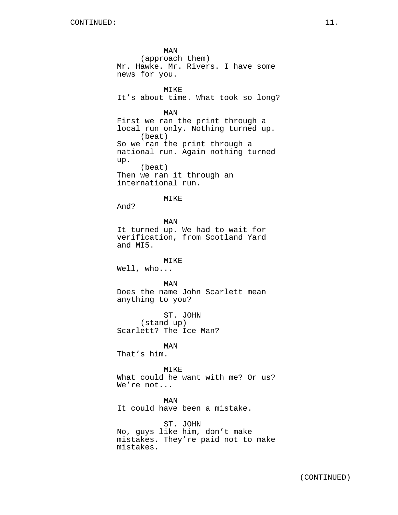MAN (approach them) Mr. Hawke. Mr. Rivers. I have some news for you. MIKE It's about time. What took so long? MAN First we ran the print through a local run only. Nothing turned up. (beat) So we ran the print through a national run. Again nothing turned up. (beat) Then we ran it through an international run. MIKE And? MAN It turned up. We had to wait for verification, from Scotland Yard and MI5. MIKE Well, who... MAN Does the name John Scarlett mean anything to you? ST. JOHN (stand up) Scarlett? The Ice Man? MAN That's him. MTK<sub>F</sub> What could he want with me? Or us? We're not... MAN It could have been a mistake. ST. JOHN No, guys like him, don't make mistakes. They're paid not to make mistakes.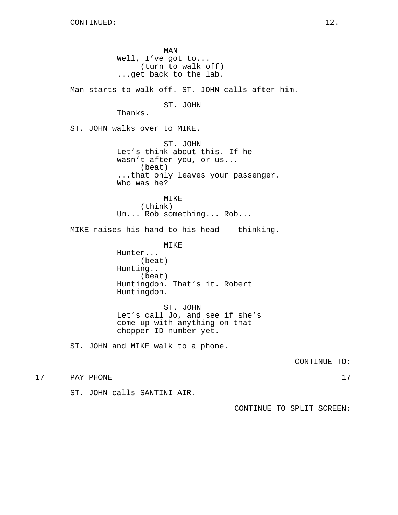MAN Well, I've got to... (turn to walk off) ...get back to the lab. Man starts to walk off. ST. JOHN calls after him. ST. JOHN Thanks. ST. JOHN walks over to MIKE. ST. JOHN Let's think about this. If he wasn't after you, or us... (beat) ...that only leaves your passenger. Who was he? MIKE (think) Um... Rob something... Rob... MIKE raises his hand to his head -- thinking. MIKE Hunter... (beat) Hunting.. (beat) Huntingdon. That's it. Robert Huntingdon. ST. JOHN Let's call Jo, and see if she's come up with anything on that chopper ID number yet. ST. JOHN and MIKE walk to a phone. CONTINUE TO: 17 PAY PHONE 17

ST. JOHN calls SANTINI AIR.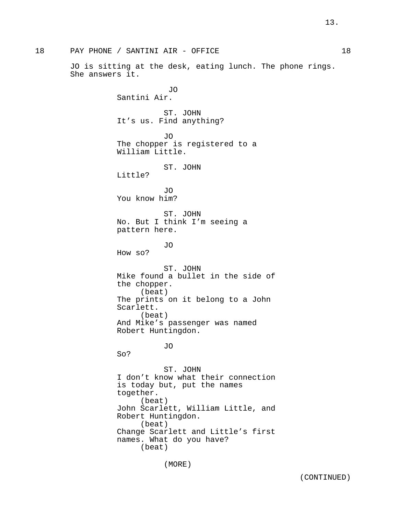18 PAY PHONE / SANTINI AIR - OFFICE 18 JO is sitting at the desk, eating lunch. The phone rings. She answers it. JO Santini Air. ST. JOHN It's us. Find anything? JO The chopper is registered to a William Little. ST. JOHN Little? JO You know him? ST. JOHN No. But I think I'm seeing a pattern here. JO How so? ST. JOHN Mike found a bullet in the side of the chopper. (beat) The prints on it belong to a John Scarlett. (beat) And Mike's passenger was named Robert Huntingdon. JO So? ST. JOHN I don't know what their connection is today but, put the names together. (beat) John Scarlett, William Little, and Robert Huntingdon. (beat) Change Scarlett and Little's first names. What do you have? (beat)

(MORE)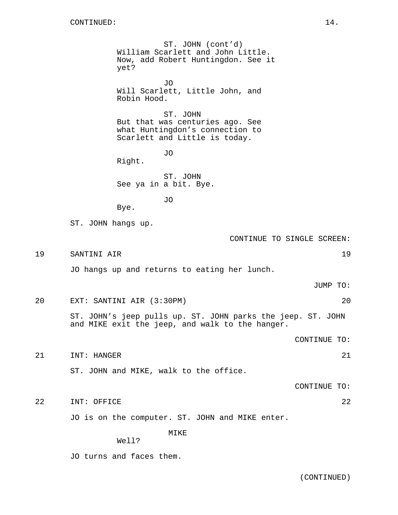ST. JOHN (cont'd) William Scarlett and John Little. Now, add Robert Huntingdon. See it yet? JO Will Scarlett, Little John, and Robin Hood. ST. JOHN But that was centuries ago. See what Huntingdon's connection to Scarlett and Little is today. JO Right. ST. JOHN See ya in a bit. Bye. JO Bye. ST. JOHN hangs up. CONTINUE TO SINGLE SCREEN: 19 SANTINI AIR 19 JO hangs up and returns to eating her lunch. JUMP TO: 20 EXT: SANTINI AIR (3:30PM) 20 ST. JOHN's jeep pulls up. ST. JOHN parks the jeep. ST. JOHN and MIKE exit the jeep, and walk to the hanger. CONTINUE TO: 21 INT: HANGER 21 21 ST. JOHN and MIKE, walk to the office. CONTINUE TO: 22 INT: OFFICE 22 JO is on the computer. ST. JOHN and MIKE enter. MIKE Well?

JO turns and faces them.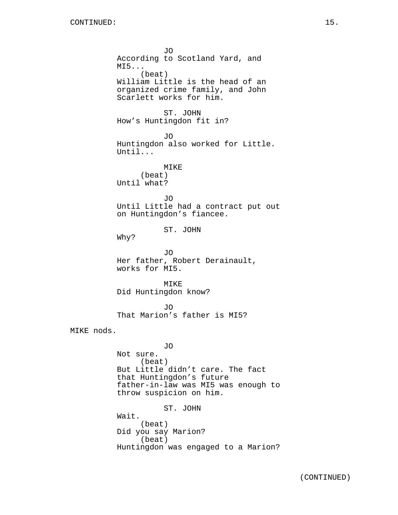JO According to Scotland Yard, and MI5... (beat) William Little is the head of an organized crime family, and John Scarlett works for him. ST. JOHN How's Huntingdon fit in? JO Huntingdon also worked for Little. Until... MIKE (beat) Until what? JO Until Little had a contract put out on Huntingdon's fiancee. ST. JOHN Why? JO Her father, Robert Derainault, works for MI5. MIKE Did Huntingdon know? JO That Marion's father is MI5? MIKE nods. JO Not sure. (beat) But Little didn't care. The fact that Huntingdon's future father-in-law was MI5 was enough to throw suspicion on him. ST. JOHN Wait. (beat) Did you say Marion? (beat) Huntingdon was engaged to a Marion?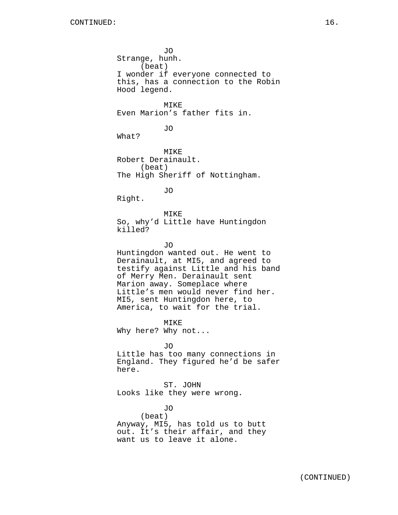JO Strange, hunh. (beat) I wonder if everyone connected to this, has a connection to the Robin Hood legend. MTKF. Even Marion's father fits in. JO What? MIKE Robert Derainault. (beat) The High Sheriff of Nottingham.

JO

Right.

MIKE So, why'd Little have Huntingdon killed?

JO

Huntingdon wanted out. He went to Derainault, at MI5, and agreed to testify against Little and his band of Merry Men. Derainault sent Marion away. Someplace where Little's men would never find her. MI5, sent Huntingdon here, to America, to wait for the trial.

MIKE Why here? Why not...

JO

Little has too many connections in England. They figured he'd be safer here.

ST. JOHN Looks like they were wrong.

JO (beat) Anyway, MI5, has told us to butt out. It's their affair, and they want us to leave it alone.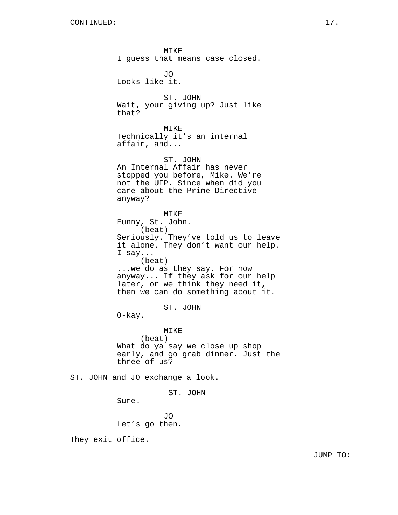MIKE I guess that means case closed. JO Looks like it. ST. JOHN Wait, your giving up? Just like that? MIKE Technically it's an internal affair, and... ST. JOHN An Internal Affair has never stopped you before, Mike. We're not the UFP. Since when did you care about the Prime Directive anyway? MIKE Funny, St. John. (beat) Seriously. They've told us to leave it alone. They don't want our help. I say... (beat) ...we do as they say. For now anyway... If they ask for our help later, or we think they need it, then we can do something about it. ST. JOHN O-kay. MIKE (beat) What do ya say we close up shop early, and go grab dinner. Just the three of us? ST. JOHN and JO exchange a look. ST. JOHN Sure. JO

Let's go then.

They exit office.

JUMP TO: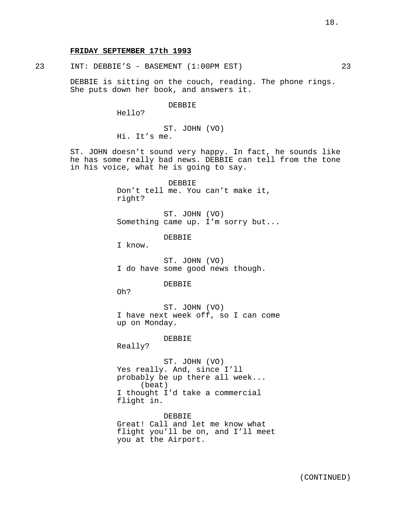# **FRIDAY SEPTEMBER 17th 1993**

23 INT: DEBBIE'S - BASEMENT (1:00PM EST) 23

DEBBIE is sitting on the couch, reading. The phone rings. She puts down her book, and answers it.

DEBBIE

Hello?

ST. JOHN (VO) Hi. It's me.

ST. JOHN doesn't sound very happy. In fact, he sounds like he has some really bad news. DEBBIE can tell from the tone in his voice, what he is going to say.

> DEBBIE Don't tell me. You can't make it, right?

ST. JOHN (VO) Something came up. I'm sorry but...

DEBBIE

I know.

ST. JOHN (VO) I do have some good news though.

DEBBIE

Oh?

ST. JOHN (VO) I have next week off, so I can come up on Monday.

DEBBIE

Really?

ST. JOHN (VO) Yes really. And, since I'll probably be up there all week... (beat) I thought I'd take a commercial flight in.

DEBBIE Great! Call and let me know what flight you'll be on, and I'll meet you at the Airport.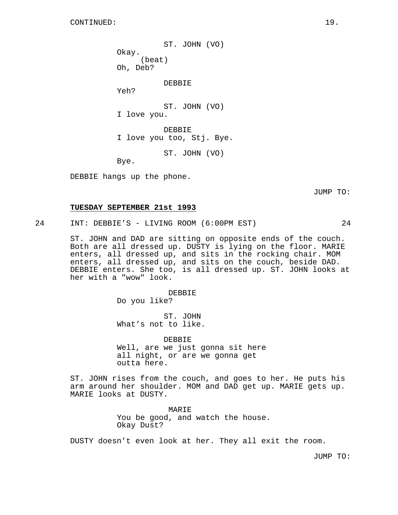ST. JOHN (VO) Okay. (beat) Oh, Deb? DEBBIE Yeh? ST. JOHN (VO) I love you. DEBBIE I love you too, Stj. Bye. ST. JOHN (VO) Bye.

DEBBIE hangs up the phone.

JUMP TO:

#### **TUESDAY SEPTEMBER 21st 1993**

24 INT: DEBBIE'S - LIVING ROOM (6:00PM EST) 24

ST. JOHN and DAD are sitting on opposite ends of the couch. Both are all dressed up. DUSTY is lying on the floor. MARIE enters, all dressed up, and sits in the rocking chair. MOM enters, all dressed up, and sits on the couch, beside DAD. DEBBIE enters. She too, is all dressed up. ST. JOHN looks at her with a "wow" look.

> DEBBIE Do you like?

ST. JOHN What's not to like.

DEBBIE Well, are we just gonna sit here all night, or are we gonna get outta here.

ST. JOHN rises from the couch, and goes to her. He puts his arm around her shoulder. MOM and DAD get up. MARIE gets up. MARIE looks at DUSTY.

> MARIE You be good, and watch the house. Okay Dust?

DUSTY doesn't even look at her. They all exit the room.

JUMP TO: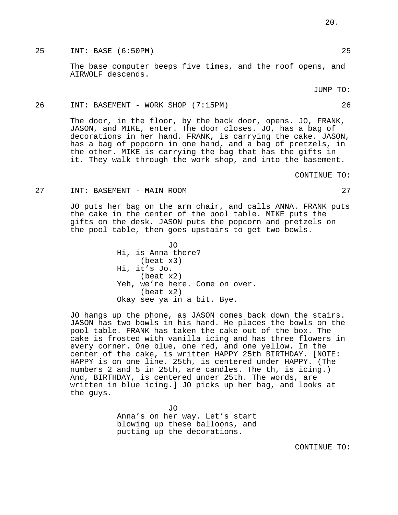25 INT: BASE (6:50PM) 25

The base computer beeps five times, and the roof opens, and AIRWOLF descends.

JUMP TO:

#### 26 INT: BASEMENT - WORK SHOP (7:15PM) 26

The door, in the floor, by the back door, opens. JO, FRANK, JASON, and MIKE, enter. The door closes. JO, has a bag of decorations in her hand. FRANK, is carrying the cake. JASON, has a bag of popcorn in one hand, and a bag of pretzels, in the other. MIKE is carrying the bag that has the gifts in it. They walk through the work shop, and into the basement.

CONTINUE TO:

#### 27 INT: BASEMENT - MAIN ROOM 27

JO puts her bag on the arm chair, and calls ANNA. FRANK puts the cake in the center of the pool table. MIKE puts the gifts on the desk. JASON puts the popcorn and pretzels on the pool table, then goes upstairs to get two bowls.

> JO Hi, is Anna there? (beat x3) Hi, it's Jo. (beat x2) Yeh, we're here. Come on over. (beat x2) Okay see ya in a bit. Bye.

JO hangs up the phone, as JASON comes back down the stairs. JASON has two bowls in his hand. He places the bowls on the pool table. FRANK has taken the cake out of the box. The cake is frosted with vanilla icing and has three flowers in every corner. One blue, one red, and one yellow. In the center of the cake, is written HAPPY 25th BIRTHDAY. [NOTE: HAPPY is on one line. 25th, is centered under HAPPY. (The numbers 2 and 5 in 25th, are candles. The th, is icing.) And, BIRTHDAY, is centered under 25th. The words, are written in blue icing.] JO picks up her bag, and looks at the guys.

> JO Anna's on her way. Let's start blowing up these balloons, and putting up the decorations.

> > CONTINUE TO: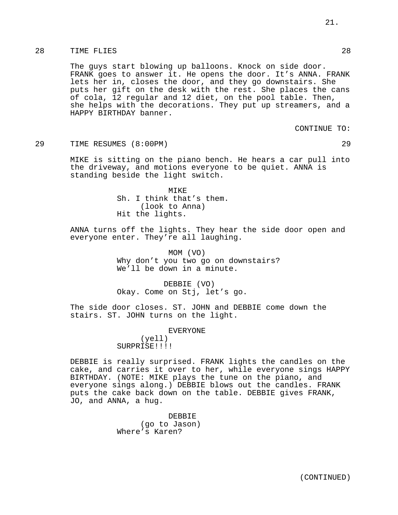# 28 TIME FLIES 28

The guys start blowing up balloons. Knock on side door. FRANK goes to answer it. He opens the door. It's ANNA. FRANK lets her in, closes the door, and they go downstairs. She puts her gift on the desk with the rest. She places the cans of cola, 12 regular and 12 diet, on the pool table. Then, she helps with the decorations. They put up streamers, and a HAPPY BIRTHDAY banner.

CONTINUE TO:

29 TIME RESUMES (8:00PM) 29

MIKE is sitting on the piano bench. He hears a car pull into the driveway, and motions everyone to be quiet. ANNA is standing beside the light switch.

> MIKE Sh. I think that's them. (look to Anna) Hit the lights.

ANNA turns off the lights. They hear the side door open and everyone enter. They're all laughing.

> MOM (VO) Why don't you two go on downstairs? We'll be down in a minute.

DEBBIE (VO) Okay. Come on Stj, let's go.

The side door closes. ST. JOHN and DEBBIE come down the stairs. ST. JOHN turns on the light.

EVERYONE

(yell) SURPRISE!!!!

DEBBIE is really surprised. FRANK lights the candles on the cake, and carries it over to her, while everyone sings HAPPY BIRTHDAY. (NOTE: MIKE plays the tune on the piano, and everyone sings along.) DEBBIE blows out the candles. FRANK puts the cake back down on the table. DEBBIE gives FRANK, JO, and ANNA, a hug.

> DEBBIE (go to Jason) Where's Karen?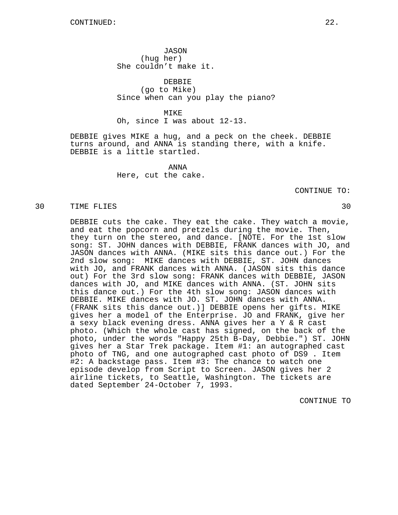JASON (hug her) She couldn't make it.

DEBBIE (go to Mike) Since when can you play the piano?

MIKE

Oh, since I was about 12-13.

DEBBIE gives MIKE a hug, and a peck on the cheek. DEBBIE turns around, and ANNA is standing there, with a knife. DEBBIE is a little startled.

> ANNA Here, cut the cake.

> > CONTINUE TO:

#### 30 TIME FLIES 30

DEBBIE cuts the cake. They eat the cake. They watch a movie, and eat the popcorn and pretzels during the movie. Then, they turn on the stereo, and dance. [NOTE. For the 1st slow song: ST. JOHN dances with DEBBIE, FRANK dances with JO, and JASON dances with ANNA. (MIKE sits this dance out.) For the 2nd slow song: MIKE dances with DEBBIE, ST. JOHN dances with JO, and FRANK dances with ANNA. (JASON sits this dance out) For the 3rd slow song: FRANK dances with DEBBIE, JASON dances with JO, and MIKE dances with ANNA. (ST. JOHN sits this dance out.) For the 4th slow song: JASON dances with DEBBIE. MIKE dances with JO. ST. JOHN dances with ANNA. (FRANK sits this dance out.)] DEBBIE opens her gifts. MIKE gives her a model of the Enterprise. JO and FRANK, give her a sexy black evening dress. ANNA gives her a Y & R cast photo. (Which the whole cast has signed, on the back of the photo, under the words "Happy 25th B-Day, Debbie.") ST. JOHN gives her a Star Trek package. Item #1: an autographed cast photo of TNG, and one autographed cast photo of DS9 . Item #2: A backstage pass. Item #3: The chance to watch one episode develop from Script to Screen. JASON gives her 2 airline tickets, to Seattle, Washington. The tickets are dated September 24-October 7, 1993.

CONTINUE TO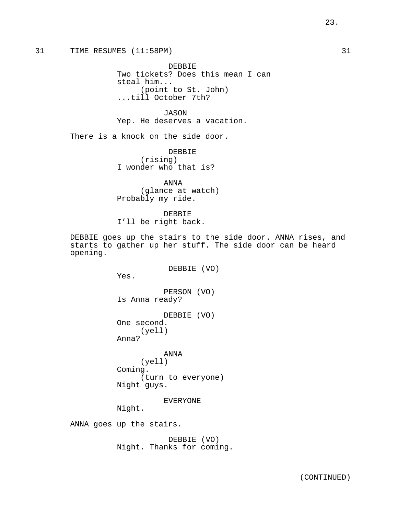23.

# 31 TIME RESUMES (11:58PM) 31

DEBBIE Two tickets? Does this mean I can steal him... (point to St. John) ...till October 7th?

JASON Yep. He deserves a vacation.

There is a knock on the side door.

DEBBIE (rising) I wonder who that is?

ANNA (glance at watch) Probably my ride.

DEBBIE I'll be right back.

DEBBIE goes up the stairs to the side door. ANNA rises, and starts to gather up her stuff. The side door can be heard opening.

DEBBIE (VO)

Yes.

PERSON (VO) Is Anna ready?

DEBBIE (VO) One second. (yell) Anna?

ANNA (yell) Coming. (turn to everyone) Night guys.

EVERYONE

Night.

ANNA goes up the stairs.

DEBBIE (VO) Night. Thanks for coming.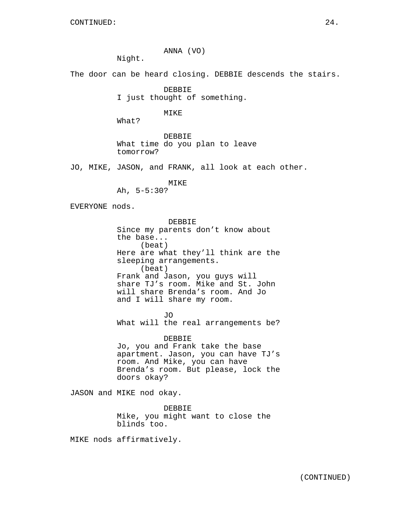ANNA (VO)

Night.

The door can be heard closing. DEBBIE descends the stairs.

DEBBIE I just thought of something.

MIKE

What?

DEBBIE What time do you plan to leave tomorrow?

JO, MIKE, JASON, and FRANK, all look at each other.

MIKE

Ah, 5-5:30?

EVERYONE nods.

DEBBIE Since my parents don't know about the base... (beat) Here are what they'll think are the sleeping arrangements. (beat) Frank and Jason, you guys will share TJ's room. Mike and St. John will share Brenda's room. And Jo and I will share my room.

JO What will the real arrangements be?

DEBBIE Jo, you and Frank take the base apartment. Jason, you can have TJ's room. And Mike, you can have Brenda's room. But please, lock the doors okay?

JASON and MIKE nod okay.

DEBBIE Mike, you might want to close the blinds too.

MIKE nods affirmatively.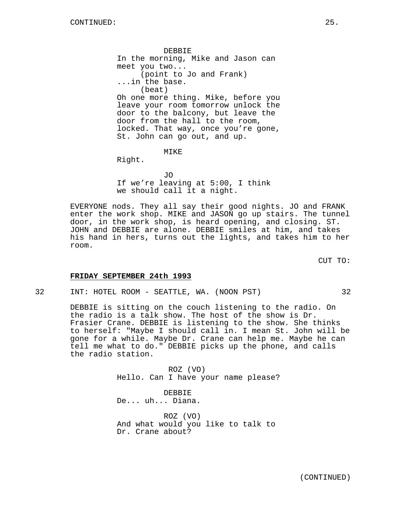DEBBIE In the morning, Mike and Jason can meet you two... (point to Jo and Frank) ...in the base. (beat) Oh one more thing. Mike, before you leave your room tomorrow unlock the door to the balcony, but leave the door from the hall to the room, locked. That way, once you're gone, St. John can go out, and up.

MIKE

Right.

JO If we're leaving at 5:00, I think we should call it a night.

EVERYONE nods. They all say their good nights. JO and FRANK enter the work shop. MIKE and JASON go up stairs. The tunnel door, in the work shop, is heard opening, and closing. ST. JOHN and DEBBIE are alone. DEBBIE smiles at him, and takes his hand in hers, turns out the lights, and takes him to her room.

CUT TO:

#### **FRIDAY SEPTEMBER 24th 1993**

32 INT: HOTEL ROOM - SEATTLE, WA. (NOON PST) 32

DEBBIE is sitting on the couch listening to the radio. On the radio is a talk show. The host of the show is Dr. Frasier Crane. DEBBIE is listening to the show. She thinks to herself: "Maybe I should call in. I mean St. John will be gone for a while. Maybe Dr. Crane can help me. Maybe he can tell me what to do." DEBBIE picks up the phone, and calls the radio station.

> ROZ (VO) Hello. Can I have your name please?

DEBBIE De... uh... Diana.

ROZ (VO) And what would you like to talk to Dr. Crane about?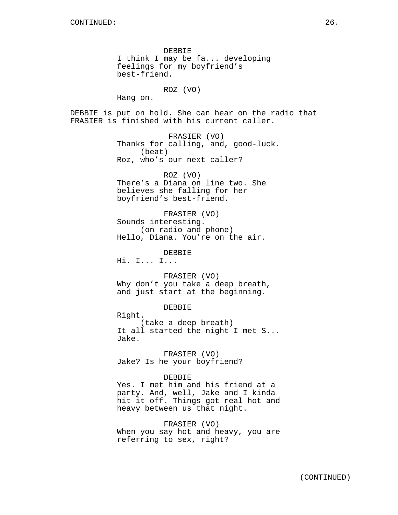DEBBIE I think I may be fa... developing feelings for my boyfriend's best-friend. ROZ (VO)

Hang on.

DEBBIE is put on hold. She can hear on the radio that FRASIER is finished with his current caller.

> FRASIER (VO) Thanks for calling, and, good-luck. (beat) Roz, who's our next caller?

ROZ (VO) There's a Diana on line two. She believes she falling for her boyfriend's best-friend.

FRASIER (VO) Sounds interesting. (on radio and phone) Hello, Diana. You're on the air.

DEBBIE

Hi. I... I...

FRASIER (VO) Why don't you take a deep breath, and just start at the beginning.

DEBBIE

Right.

(take a deep breath) It all started the night I met S... Jake.

FRASIER (VO) Jake? Is he your boyfriend?

#### DEBBIE

Yes. I met him and his friend at a party. And, well, Jake and I kinda hit it off. Things got real hot and heavy between us that night.

FRASIER (VO)

When you say hot and heavy, you are referring to sex, right?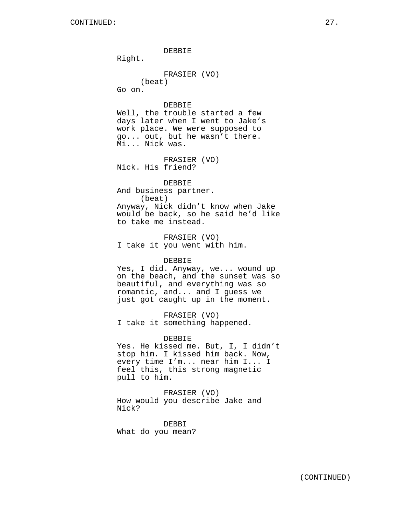Right. FRASIER (VO) (beat) Go on. DEBBIE Well, the trouble started a few days later when I went to Jake's work place. We were supposed to go... out, but he wasn't there. Mi... Nick was. FRASIER (VO) Nick. His friend? DEBBIE And business partner. (beat) Anyway, Nick didn't know when Jake would be back, so he said he'd like to take me instead.

DEBBIE

FRASIER (VO) I take it you went with him.

### DEBBIE

Yes, I did. Anyway, we... wound up on the beach, and the sunset was so beautiful, and everything was so romantic, and... and I guess we just got caught up in the moment.

FRASIER (VO) I take it something happened.

#### DEBBIE

Yes. He kissed me. But, I, I didn't stop him. I kissed him back. Now, every time I'm... near him I... I feel this, this strong magnetic pull to him.

FRASIER (VO) How would you describe Jake and Nick?

DEBBI What do you mean?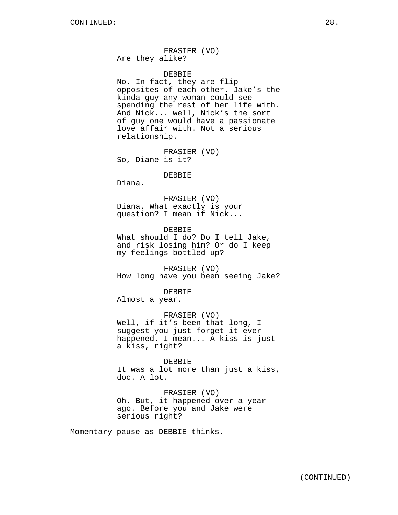FRASIER (VO) Are they alike?

### DEBBIE

No. In fact, they are flip opposites of each other. Jake's the kinda guy any woman could see spending the rest of her life with. And Nick... well, Nick's the sort of guy one would have a passionate love affair with. Not a serious relationship.

FRASIER (VO) So, Diane is it?

#### DEBBIE

Diana.

FRASIER (VO) Diana. What exactly is your question? I mean if Nick...

DEBBIE What should I do? Do I tell Jake, and risk losing him? Or do I keep my feelings bottled up?

FRASIER (VO) How long have you been seeing Jake?

DEBBIE

Almost a year.

FRASIER (VO) Well, if it's been that long, I suggest you just forget it ever happened. I mean... A kiss is just a kiss, right?

DEBBIE It was a lot more than just a kiss, doc. A lot.

FRASIER (VO) Oh. But, it happened over a year ago. Before you and Jake were serious right?

Momentary pause as DEBBIE thinks.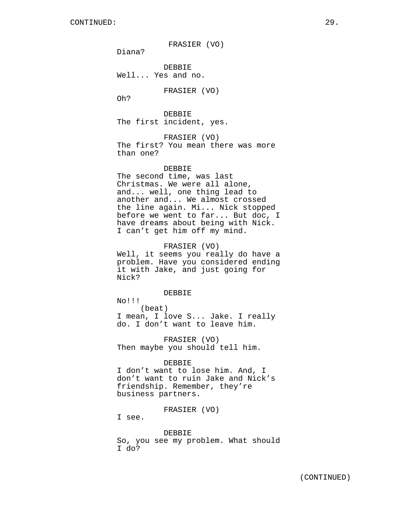FRASIER (VO)

Diana?

DEBBIE Well... Yes and no.

FRASIER (VO)

Oh?

DEBBIE The first incident, yes.

FRASIER (VO)

The first? You mean there was more than one?

# DEBBIE

The second time, was last Christmas. We were all alone, and... well, one thing lead to another and... We almost crossed the line again. Mi... Nick stopped before we went to far... But doc, I have dreams about being with Nick. I can't get him off my mind.

#### FRASIER (VO)

Well, it seems you really do have a problem. Have you considered ending it with Jake, and just going for Nick?

#### DEBBIE

No!!! (beat) I mean, I love S... Jake. I really do. I don't want to leave him.

FRASIER (VO) Then maybe you should tell him.

#### DEBBIE

I don't want to lose him. And, I don't want to ruin Jake and Nick's friendship. Remember, they're business partners.

FRASIER (VO)

I see.

#### DEBBIE

So, you see my problem. What should I do?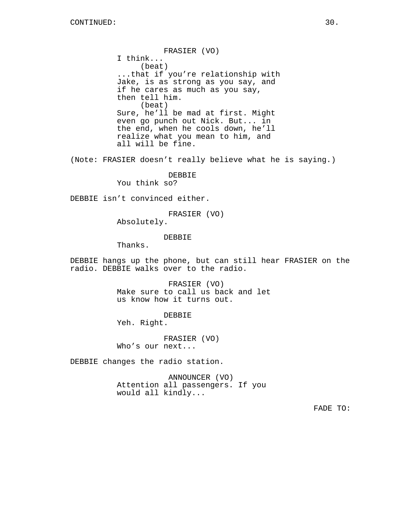FRASIER (VO) I think... (beat) ...that if you're relationship with Jake, is as strong as you say, and if he cares as much as you say, then tell him. (beat) Sure, he'll be mad at first. Might even go punch out Nick. But... in the end, when he cools down, he'll realize what you mean to him, and all will be fine.

(Note: FRASIER doesn't really believe what he is saying.)

### DEBBIE

You think so?

DEBBIE isn't convinced either.

FRASIER (VO)

Absolutely.

## DEBBIE

Thanks.

DEBBIE hangs up the phone, but can still hear FRASIER on the radio. DEBBIE walks over to the radio.

> FRASIER (VO) Make sure to call us back and let us know how it turns out.

> > DEBBIE

Yeh. Right.

FRASIER (VO) Who's our next...

DEBBIE changes the radio station.

ANNOUNCER (VO) Attention all passengers. If you would all kindly...

FADE TO: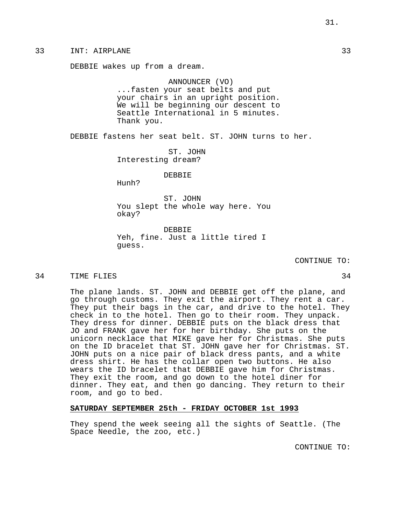DEBBIE wakes up from a dream.

# ANNOUNCER (VO) ...fasten your seat belts and put your chairs in an upright position. We will be beginning our descent to Seattle International in 5 minutes. Thank you.

DEBBIE fastens her seat belt. ST. JOHN turns to her.

ST. JOHN Interesting dream?

### DEBBIE

Hunh?

ST. JOHN You slept the whole way here. You okay?

DEBBIE Yeh, fine. Just a little tired I guess.

CONTINUE TO:

#### 34 TIME FLIES 34

The plane lands. ST. JOHN and DEBBIE get off the plane, and go through customs. They exit the airport. They rent a car. They put their bags in the car, and drive to the hotel. They check in to the hotel. Then go to their room. They unpack. They dress for dinner. DEBBIE puts on the black dress that JO and FRANK gave her for her birthday. She puts on the unicorn necklace that MIKE gave her for Christmas. She puts on the ID bracelet that ST. JOHN gave her for Christmas. ST. JOHN puts on a nice pair of black dress pants, and a white dress shirt. He has the collar open two buttons. He also wears the ID bracelet that DEBBIE gave him for Christmas. They exit the room, and go down to the hotel diner for dinner. They eat, and then go dancing. They return to their room, and go to bed.

## **SATURDAY SEPTEMBER 25th - FRIDAY OCTOBER 1st 1993**

They spend the week seeing all the sights of Seattle. (The Space Needle, the zoo, etc.)

CONTINUE TO: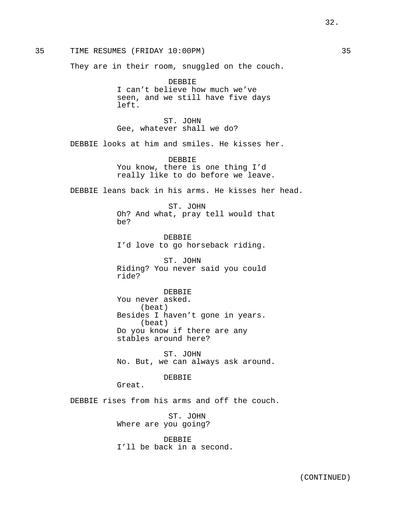They are in their room, snuggled on the couch.

DEBBIE I can't believe how much we've seen, and we still have five days left.

ST. JOHN Gee, whatever shall we do?

DEBBIE looks at him and smiles. He kisses her.

DEBBIE You know, there is one thing I'd really like to do before we leave.

DEBBIE leans back in his arms. He kisses her head.

ST. JOHN Oh? And what, pray tell would that be?

DEBBIE I'd love to go horseback riding.

ST. JOHN Riding? You never said you could ride?

DEBBIE You never asked. (beat) Besides I haven't gone in years. (beat) Do you know if there are any stables around here?

ST. JOHN No. But, we can always ask around.

#### DEBBIE

Great.

DEBBIE rises from his arms and off the couch.

ST. JOHN Where are you going?

DEBBIE I'll be back in a second.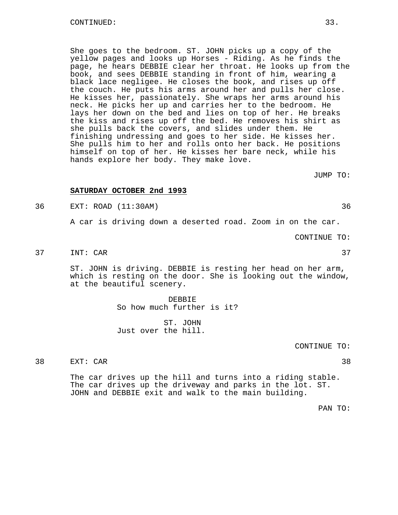She goes to the bedroom. ST. JOHN picks up a copy of the yellow pages and looks up Horses - Riding. As he finds the page, he hears DEBBIE clear her throat. He looks up from the book, and sees DEBBIE standing in front of him, wearing a black lace negligee. He closes the book, and rises up off the couch. He puts his arms around her and pulls her close. He kisses her, passionately. She wraps her arms around his neck. He picks her up and carries her to the bedroom. He lays her down on the bed and lies on top of her. He breaks the kiss and rises up off the bed. He removes his shirt as she pulls back the covers, and slides under them. He finishing undressing and goes to her side. He kisses her. She pulls him to her and rolls onto her back. He positions himself on top of her. He kisses her bare neck, while his hands explore her body. They make love.

JUMP TO:

### **SATURDAY OCTOBER 2nd 1993**

36 EXT: ROAD (11:30AM) 36

A car is driving down a deserted road. Zoom in on the car.

CONTINUE TO:

37 INT: CAR 37

ST. JOHN is driving. DEBBIE is resting her head on her arm, which is resting on the door. She is looking out the window, at the beautiful scenery.

> DEBBIE So how much further is it?

ST. JOHN Just over the hill.

CONTINUE TO:

38 EXT: CAR 38

The car drives up the hill and turns into a riding stable. The car drives up the driveway and parks in the lot. ST. JOHN and DEBBIE exit and walk to the main building.

PAN TO: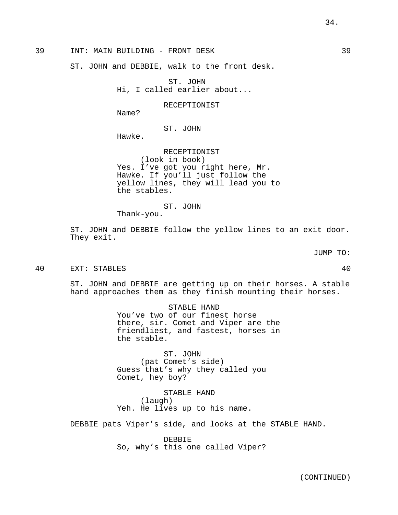39 INT: MAIN BUILDING - FRONT DESK 39

ST. JOHN and DEBBIE, walk to the front desk.

ST. JOHN Hi, I called earlier about...

RECEPTIONIST

Name?

ST. JOHN

Hawke.

RECEPTIONIST (look in book) Yes. I've got you right here, Mr. Hawke. If you'll just follow the yellow lines, they will lead you to the stables.

ST. JOHN

Thank-you.

ST. JOHN and DEBBIE follow the yellow lines to an exit door. They exit.

JUMP TO:

40 EXT: STABLES 40

ST. JOHN and DEBBIE are getting up on their horses. A stable hand approaches them as they finish mounting their horses.

> STABLE HAND You've two of our finest horse there, sir. Comet and Viper are the friendliest, and fastest, horses in the stable.

ST. JOHN (pat Comet's side) Guess that's why they called you Comet, hey boy?

STABLE HAND (laugh) Yeh. He lives up to his name.

DEBBIE pats Viper's side, and looks at the STABLE HAND.

DEBBIE So, why's this one called Viper?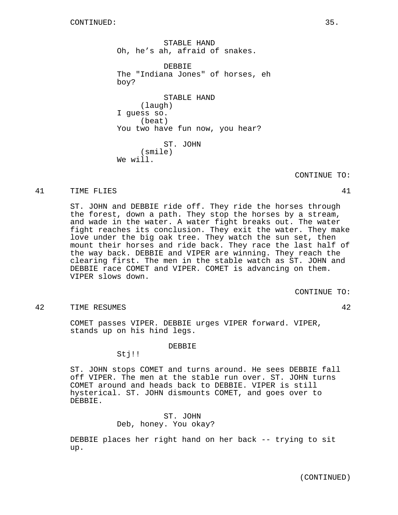STABLE HAND Oh, he's ah, afraid of snakes. DEBBIE The "Indiana Jones" of horses, eh boy? STABLE HAND (laugh) I guess so. (beat) You two have fun now, you hear? ST. JOHN (smile) We will.

CONTINUE TO:

#### 41 TIME FLIES 41

ST. JOHN and DEBBIE ride off. They ride the horses through the forest, down a path. They stop the horses by a stream, and wade in the water. A water fight breaks out. The water fight reaches its conclusion. They exit the water. They make love under the big oak tree. They watch the sun set, then mount their horses and ride back. They race the last half of the way back. DEBBIE and VIPER are winning. They reach the clearing first. The men in the stable watch as ST. JOHN and DEBBIE race COMET and VIPER. COMET is advancing on them. VIPER slows down.

CONTINUE TO:

# 42 TIME RESUMES 42

COMET passes VIPER. DEBBIE urges VIPER forward. VIPER, stands up on his hind legs.

#### DEBBIE

Stj!!

ST. JOHN stops COMET and turns around. He sees DEBBIE fall off VIPER. The men at the stable run over. ST. JOHN turns COMET around and heads back to DEBBIE. VIPER is still hysterical. ST. JOHN dismounts COMET, and goes over to DEBBIE.

# ST. JOHN Deb, honey. You okay?

DEBBIE places her right hand on her back -- trying to sit up.

(CONTINUED)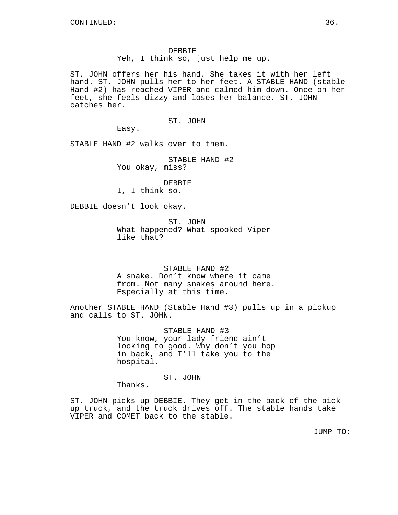DEBBIE Yeh, I think so, just help me up.

ST. JOHN offers her his hand. She takes it with her left hand. ST. JOHN pulls her to her feet. A STABLE HAND (stable Hand #2) has reached VIPER and calmed him down. Once on her feet, she feels dizzy and loses her balance. ST. JOHN catches her.

ST. JOHN

Easy.

STABLE HAND #2 walks over to them.

STABLE HAND #2 You okay, miss?

DEBBIE I, I think so.

DEBBIE doesn't look okay.

ST. JOHN What happened? What spooked Viper like that?

STABLE HAND #2 A snake. Don't know where it came from. Not many snakes around here. Especially at this time.

Another STABLE HAND (Stable Hand #3) pulls up in a pickup and calls to ST. JOHN.

> STABLE HAND #3 You know, your lady friend ain't looking to good. Why don't you hop in back, and I'll take you to the hospital.

> > ST. JOHN

Thanks.

ST. JOHN picks up DEBBIE. They get in the back of the pick up truck, and the truck drives off. The stable hands take VIPER and COMET back to the stable.

JUMP TO: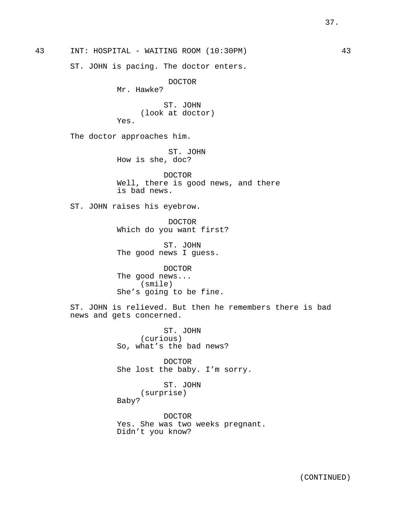43 INT: HOSPITAL - WAITING ROOM (10:30PM) 43

ST. JOHN is pacing. The doctor enters.

DOCTOR

Mr. Hawke?

ST. JOHN (look at doctor) Yes.

The doctor approaches him.

ST. JOHN How is she, doc?

DOCTOR Well, there is good news, and there is bad news.

ST. JOHN raises his eyebrow.

DOCTOR Which do you want first?

ST. JOHN The good news I guess.

DOCTOR The good news... (smile) She's going to be fine.

ST. JOHN is relieved. But then he remembers there is bad news and gets concerned.

> ST. JOHN (curious) So, what's the bad news?

DOCTOR She lost the baby. I'm sorry.

ST. JOHN (surprise) Baby?

DOCTOR Yes. She was two weeks pregnant. Didn't you know?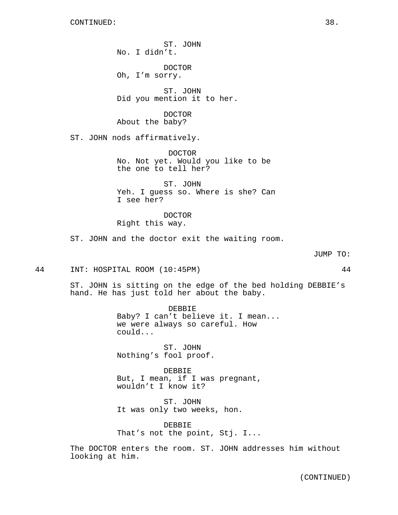ST. JOHN No. I didn't.

DOCTOR Oh, I'm sorry.

ST. JOHN Did you mention it to her.

DOCTOR About the baby?

ST. JOHN nods affirmatively.

DOCTOR No. Not yet. Would you like to be the one to tell her?

ST. JOHN Yeh. I guess so. Where is she? Can I see her?

DOCTOR Right this way.

ST. JOHN and the doctor exit the waiting room.

JUMP TO:

44 INT: HOSPITAL ROOM (10:45PM) 44

ST. JOHN is sitting on the edge of the bed holding DEBBIE's hand. He has just told her about the baby.

> DEBBIE Baby? I can't believe it. I mean... we were always so careful. How could...

ST. JOHN Nothing's fool proof.

DEBBIE But, I mean, if I was pregnant, wouldn't I know it?

ST. JOHN It was only two weeks, hon.

DEBBIE That's not the point, Stj. I...

The DOCTOR enters the room. ST. JOHN addresses him without looking at him.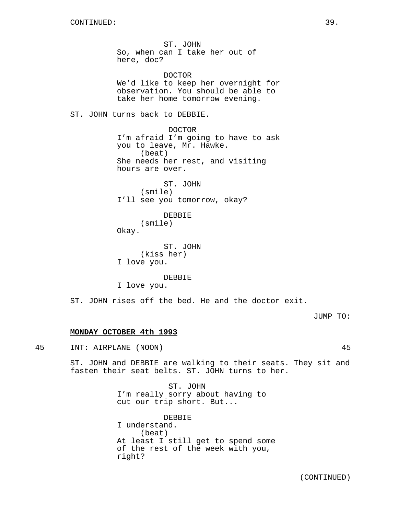ST. JOHN So, when can I take her out of here, doc? DOCTOR We'd like to keep her overnight for observation. You should be able to take her home tomorrow evening. ST. JOHN turns back to DEBBIE. DOCTOR I'm afraid I'm going to have to ask you to leave, Mr. Hawke. (beat) She needs her rest, and visiting hours are over. ST. JOHN (smile) I'll see you tomorrow, okay? DEBBIE (smile) Okay. ST. JOHN (kiss her) I love you. DEBBIE I love you.

ST. JOHN rises off the bed. He and the doctor exit.

JUMP TO:

## **MONDAY OCTOBER 4th 1993**

45 INT: AIRPLANE (NOON) 45

ST. JOHN and DEBBIE are walking to their seats. They sit and fasten their seat belts. ST. JOHN turns to her.

> ST. JOHN I'm really sorry about having to cut our trip short. But...

DEBBIE I understand. (beat) At least I still get to spend some of the rest of the week with you, right?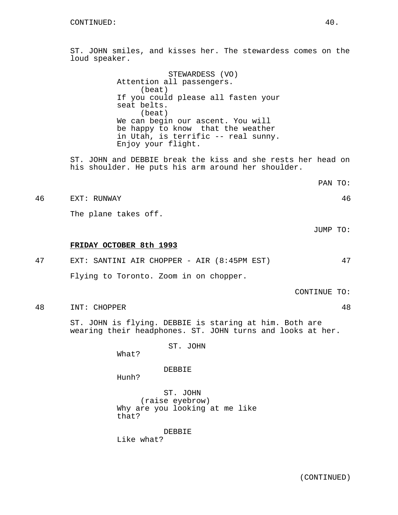ST. JOHN smiles, and kisses her. The stewardess comes on the loud speaker.

> STEWARDESS (VO) Attention all passengers. (beat) If you could please all fasten your seat belts. (beat) We can begin our ascent. You will be happy to know that the weather in Utah, is terrific -- real sunny. Enjoy your flight.

ST. JOHN and DEBBIE break the kiss and she rests her head on his shoulder. He puts his arm around her shoulder.

PAN TO:

46 EXT: RUNWAY 46

The plane takes off.

JUMP TO:

#### **FRIDAY OCTOBER 8th 1993**

| 47 |  |  |  | EXT: SANTINI AIR CHOPPER - AIR (8:45PM EST) |  |  |
|----|--|--|--|---------------------------------------------|--|--|
|    |  |  |  | Flying to Toronto. Zoom in on chopper.      |  |  |

CONTINUE TO:

48 INT: CHOPPER 48

ST. JOHN is flying. DEBBIE is staring at him. Both are wearing their headphones. ST. JOHN turns and looks at her.

ST. JOHN

What?

DEBBIE

Hunh?

ST. JOHN (raise eyebrow) Why are you looking at me like that?

DEBBIE Like what?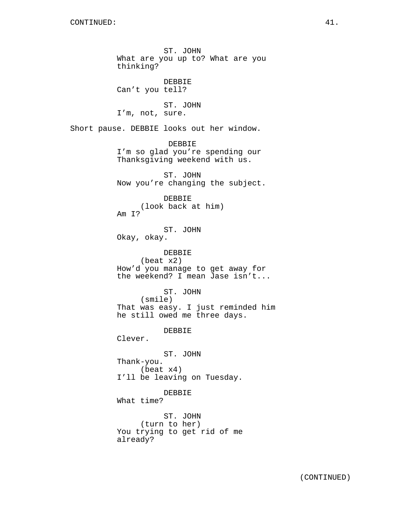ST. JOHN What are you up to? What are you thinking? DEBBIE Can't you tell? ST. JOHN I'm, not, sure. Short pause. DEBBIE looks out her window. DEBBIE I'm so glad you're spending our Thanksgiving weekend with us. ST. JOHN Now you're changing the subject. DEBBIE (look back at him) Am I? ST. JOHN Okay, okay. DEBBIE (beat x2) How'd you manage to get away for the weekend? I mean Jase isn't... ST. JOHN (smile) That was easy. I just reminded him he still owed me three days. DEBBIE Clever. ST. JOHN Thank-you. (beat x4) I'll be leaving on Tuesday. DEBBIE What time? ST. JOHN (turn to her) You trying to get rid of me already?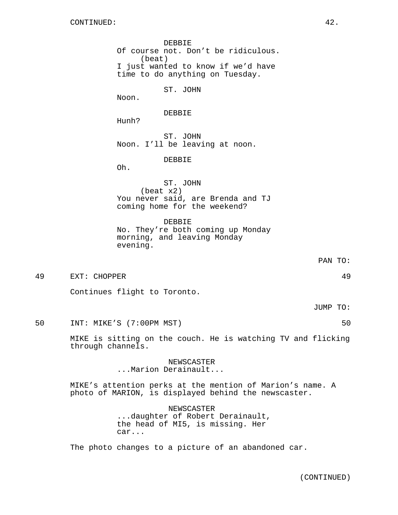DEBBIE Of course not. Don't be ridiculous. (beat) I just wanted to know if we'd have time to do anything on Tuesday. ST. JOHN

Noon.

DEBBIE

Hunh?

ST. JOHN Noon. I'll be leaving at noon.

DEBBIE

Oh.

ST. JOHN (beat x2) You never said, are Brenda and TJ coming home for the weekend?

DEBBIE No. They're both coming up Monday morning, and leaving Monday evening.

PAN TO:

49 EXT: CHOPPER 49

Continues flight to Toronto.

JUMP TO:

50 INT: MIKE'S (7:00PM MST) 50

MIKE is sitting on the couch. He is watching TV and flicking through channels.

> NEWSCASTER ...Marion Derainault...

MIKE's attention perks at the mention of Marion's name. A photo of MARION, is displayed behind the newscaster.

> NEWSCASTER ...daughter of Robert Derainault, the head of MI5, is missing. Her car...

The photo changes to a picture of an abandoned car.

(CONTINUED)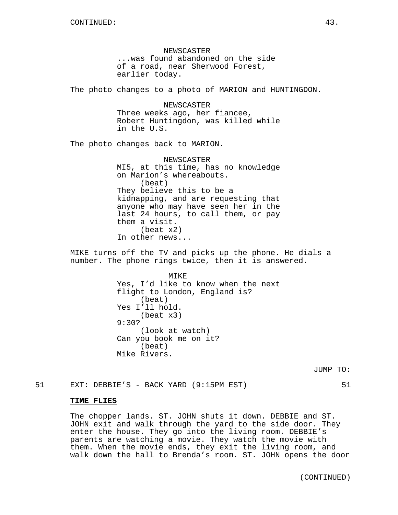NEWSCASTER ...was found abandoned on the side of a road, near Sherwood Forest, earlier today.

The photo changes to a photo of MARION and HUNTINGDON.

NEWSCASTER Three weeks ago, her fiancee, Robert Huntingdon, was killed while in the U.S.

The photo changes back to MARION.

NEWSCASTER MI5, at this time, has no knowledge on Marion's whereabouts. (beat) They believe this to be a kidnapping, and are requesting that anyone who may have seen her in the last 24 hours, to call them, or pay them a visit. (beat x2) In other news...

MIKE turns off the TV and picks up the phone. He dials a number. The phone rings twice, then it is answered.

> MIKE Yes, I'd like to know when the next flight to London, England is? (beat) Yes I'll hold. (beat x3) 9:30? (look at watch) Can you book me on it? (beat) Mike Rivers.

> > JUMP TO:

51 EXT: DEBBIE'S - BACK YARD (9:15PM EST) 51

### **TIME FLIES**

The chopper lands. ST. JOHN shuts it down. DEBBIE and ST. JOHN exit and walk through the yard to the side door. They enter the house. They go into the living room. DEBBIE's parents are watching a movie. They watch the movie with them. When the movie ends, they exit the living room, and walk down the hall to Brenda's room. ST. JOHN opens the door

(CONTINUED)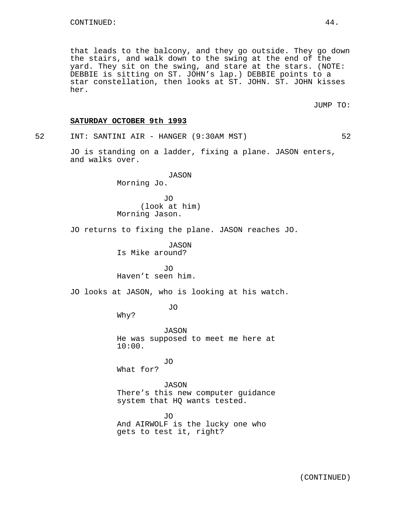that leads to the balcony, and they go outside. They go down the stairs, and walk down to the swing at the end of the yard. They sit on the swing, and stare at the stars. (NOTE: DEBBIE is sitting on ST. JOHN's lap.) DEBBIE points to a star constellation, then looks at ST. JOHN. ST. JOHN kisses her.

JUMP TO:

### **SATURDAY OCTOBER 9th 1993**

52 INT: SANTINI AIR - HANGER (9:30AM MST) 52

JO is standing on a ladder, fixing a plane. JASON enters, and walks over.

> JASON Morning Jo.

JO (look at him) Morning Jason.

JO returns to fixing the plane. JASON reaches JO.

JASON Is Mike around?

JO Haven't seen him.

JO looks at JASON, who is looking at his watch.

JO

Why?

JASON He was supposed to meet me here at 10:00.

JO What for?

JASON There's this new computer guidance system that HQ wants tested.

JO And AIRWOLF is the lucky one who gets to test it, right?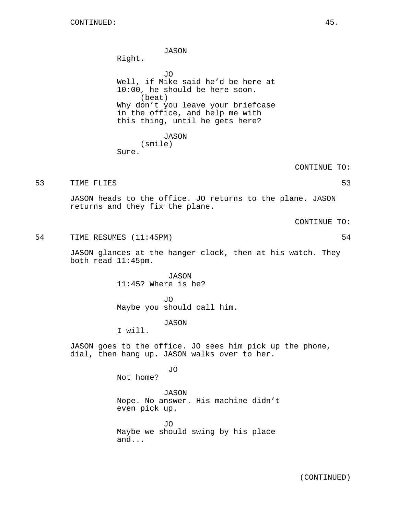JASON

Right.

JO Well, if Mike said he'd be here at 10:00, he should be here soon. (beat) Why don't you leave your briefcase in the office, and help me with this thing, until he gets here?

> JASON (smile)

Sure.

CONTINUE TO:

53 TIME FLIES 53

JASON heads to the office. JO returns to the plane. JASON returns and they fix the plane.

CONTINUE TO:

54 TIME RESUMES (11:45PM) 54

JASON glances at the hanger clock, then at his watch. They both read 11:45pm.

> JASON 11:45? Where is he?

JO Maybe you should call him.

JASON

I will.

JASON goes to the office. JO sees him pick up the phone, dial, then hang up. JASON walks over to her.

JO

Not home?

JASON Nope. No answer. His machine didn't even pick up.

JO Maybe we should swing by his place and...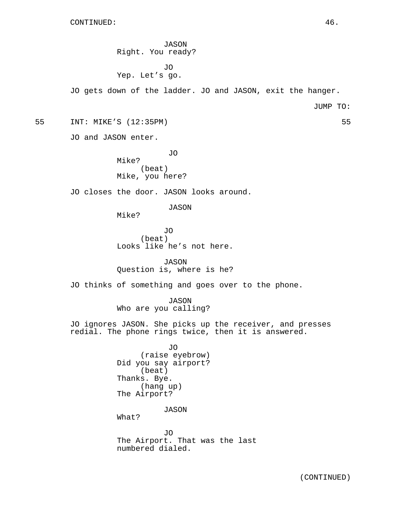JASON Right. You ready? JO Yep. Let's go. JO gets down of the ladder. JO and JASON, exit the hanger. JUMP TO: 55 INT: MIKE'S (12:35PM) 55 JO and JASON enter. JO Mike? (beat) Mike, you here? JO closes the door. JASON looks around. JASON Mike? JO (beat) Looks like he's not here. JASON Question is, where is he? JO thinks of something and goes over to the phone. JASON Who are you calling? JO ignores JASON. She picks up the receiver, and presses redial. The phone rings twice, then it is answered. JO (raise eyebrow) Did you say airport? (beat) Thanks. Bye. (hang up) The Airport? JASON What? JO The Airport. That was the last numbered dialed.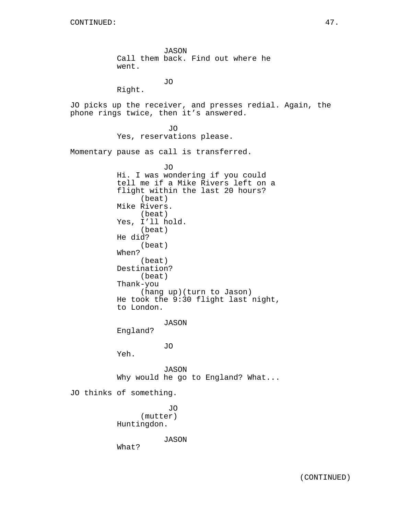JASON Call them back. Find out where he went.

JO

Right.

JO picks up the receiver, and presses redial. Again, the phone rings twice, then it's answered.

> JO Yes, reservations please.

Momentary pause as call is transferred.

JO Hi. I was wondering if you could tell me if a Mike Rivers left on a flight within the last 20 hours? (beat) Mike Rivers. (beat) Yes, I'll hold. (beat) He did? (beat) When? (beat) Destination? (beat) Thank-you (hang up)(turn to Jason) He took the 9:30 flight last night, to London. JASON England? JO Yeh. JASON Why would he go to England? What... JO thinks of something. JO (mutter) Huntingdon. JASON What?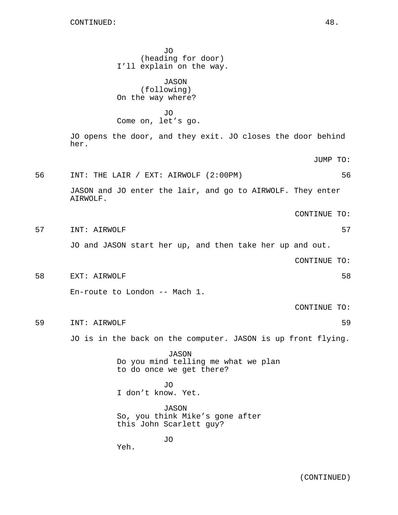JO (heading for door) I'll explain on the way. JASON (following) On the way where? JO Come on, let's go. JO opens the door, and they exit. JO closes the door behind her. JUMP TO: 56 INT: THE LAIR / EXT: AIRWOLF (2:00PM) 56 JASON and JO enter the lair, and go to AIRWOLF. They enter AIRWOLF. CONTINUE TO: 57 INT: AIRWOLF 57 JO and JASON start her up, and then take her up and out. CONTINUE TO: 58 EXT: AIRWOLF 58 En-route to London -- Mach 1. CONTINUE TO: 59 INT: AIRWOLF 59 JO is in the back on the computer. JASON is up front flying. JASON Do you mind telling me what we plan to do once we get there? JO I don't know. Yet. JASON So, you think Mike's gone after this John Scarlett guy? JO Yeh.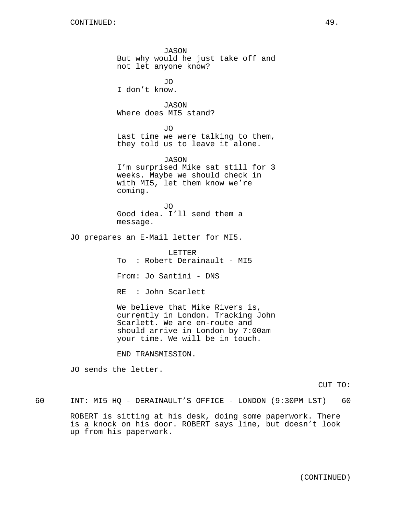JASON But why would he just take off and not let anyone know? JO I don't know. JASON Where does MI5 stand? JO Last time we were talking to them, they told us to leave it alone. JASON I'm surprised Mike sat still for 3 weeks. Maybe we should check in with MI5, let them know we're coming. JO Good idea. I'll send them a message. JO prepares an E-Mail letter for MI5. LETTER To : Robert Derainault - MI5 From: Jo Santini - DNS RE : John Scarlett We believe that Mike Rivers is, currently in London. Tracking John Scarlett. We are en-route and should arrive in London by 7:00am your time. We will be in touch. END TRANSMISSION.

JO sends the letter.

CUT TO:

60 INT: MI5 HQ - DERAINAULT'S OFFICE - LONDON (9:30PM LST) 60

ROBERT is sitting at his desk, doing some paperwork. There is a knock on his door. ROBERT says line, but doesn't look up from his paperwork.

(CONTINUED)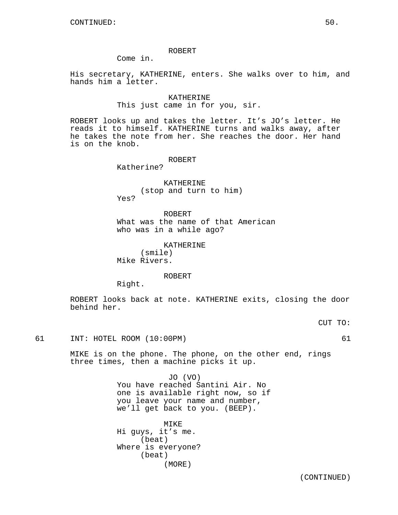### ROBERT

Come in.

His secretary, KATHERINE, enters. She walks over to him, and hands him a letter.

> KATHERINE This just came in for you, sir.

ROBERT looks up and takes the letter. It's JO's letter. He reads it to himself. KATHERINE turns and walks away, after he takes the note from her. She reaches the door. Her hand is on the knob.

ROBERT

Katherine?

KATHERINE (stop and turn to him) Yes?

ROBERT What was the name of that American who was in a while ago?

> KATHERINE (smile)

Mike Rivers.

ROBERT

Right.

ROBERT looks back at note. KATHERINE exits, closing the door behind her.

CUT TO:

61 INT: HOTEL ROOM (10:00PM) 61

MIKE is on the phone. The phone, on the other end, rings three times, then a machine picks it up.

> JO (VO) You have reached Santini Air. No one is available right now, so if you leave your name and number, we'll get back to you. (BEEP).

MIKE Hi guys, it's me. (beat) Where is everyone? (beat) (MORE)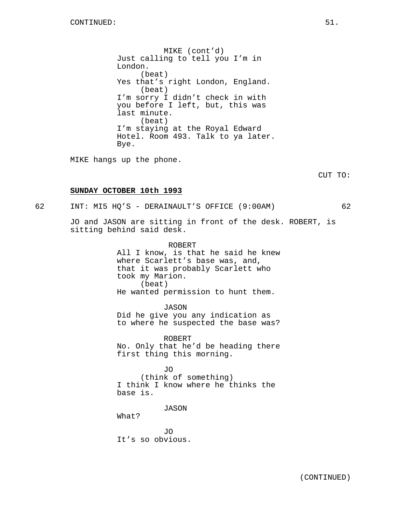MIKE (cont'd) Just calling to tell you I'm in London. (beat) Yes that's right London, England. (beat) I'm sorry I didn't check in with you before I left, but, this was last minute. (beat) I'm staying at the Royal Edward Hotel. Room 493. Talk to ya later. Bye.

MIKE hangs up the phone.

CUT TO:

### **SUNDAY OCTOBER 10th 1993**

62 INT: MI5 HQ'S - DERAINAULT'S OFFICE (9:00AM) 62

JO and JASON are sitting in front of the desk. ROBERT, is sitting behind said desk.

> ROBERT All I know, is that he said he knew where Scarlett's base was, and, that it was probably Scarlett who took my Marion. (beat) He wanted permission to hunt them.

> > JASON

Did he give you any indication as to where he suspected the base was?

ROBERT No. Only that he'd be heading there first thing this morning.

JO (think of something) I think I know where he thinks the base is.

JASON

What?

JO It's so obvious.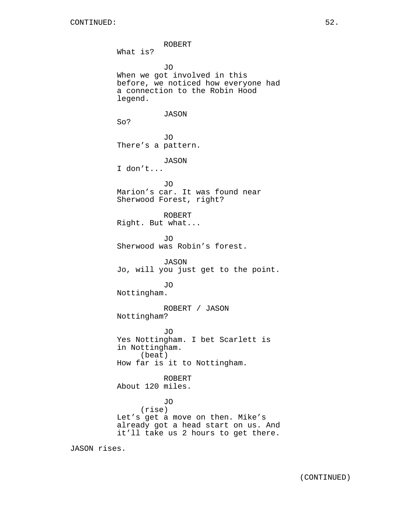ROBERT What is? JO When we got involved in this before, we noticed how everyone had a connection to the Robin Hood legend. JASON So? JO There's a pattern. JASON I don't... JO Marion's car. It was found near Sherwood Forest, right? ROBERT Right. But what... JO Sherwood was Robin's forest. JASON Jo, will you just get to the point. JO Nottingham. ROBERT / JASON Nottingham? JO Yes Nottingham. I bet Scarlett is in Nottingham. (beat) How far is it to Nottingham. ROBERT About 120 miles. JO (rise) Let's get a move on then. Mike's already got a head start on us. And it'll take us 2 hours to get there.

JASON rises.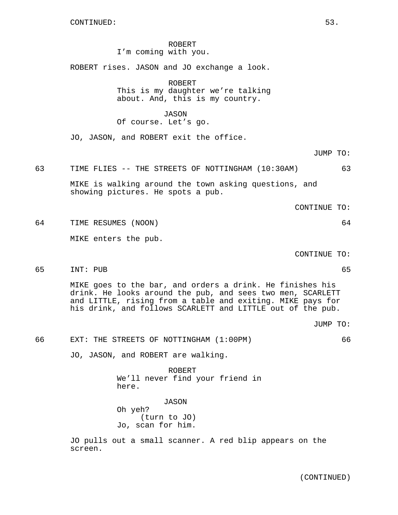ROBERT I'm coming with you.

ROBERT rises. JASON and JO exchange a look.

ROBERT This is my daughter we're talking about. And, this is my country.

JASON

Of course. Let's go.

JO, JASON, and ROBERT exit the office.

JUMP TO:

63 TIME FLIES -- THE STREETS OF NOTTINGHAM (10:30AM) 63

MIKE is walking around the town asking questions, and showing pictures. He spots a pub.

CONTINUE TO:

64 TIME RESUMES (NOON) 64

MIKE enters the pub.

CONTINUE TO:

65 INT: PUB 65

MIKE goes to the bar, and orders a drink. He finishes his drink. He looks around the pub, and sees two men, SCARLETT and LITTLE, rising from a table and exiting. MIKE pays for his drink, and follows SCARLETT and LITTLE out of the pub.

JUMP TO:

66 EXT: THE STREETS OF NOTTINGHAM (1:00PM) 66

JO, JASON, and ROBERT are walking.

ROBERT We'll never find your friend in here.

JASON Oh yeh? (turn to JO) Jo, scan for him.

JO pulls out a small scanner. A red blip appears on the screen.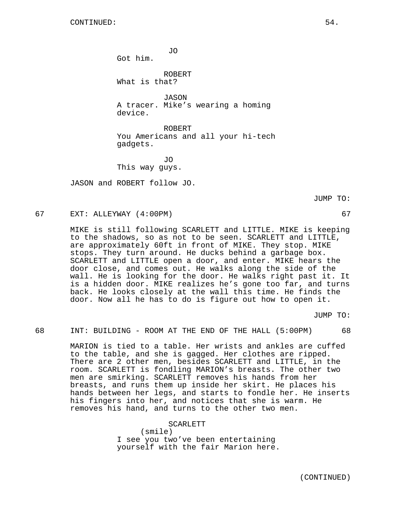JO

Got him.

ROBERT What is that?

JASON A tracer. Mike's wearing a homing device.

ROBERT You Americans and all your hi-tech gadgets.

JO This way guys.

JASON and ROBERT follow JO.

JUMP TO:

## 67 EXT: ALLEYWAY (4:00PM) 67

MIKE is still following SCARLETT and LITTLE. MIKE is keeping to the shadows, so as not to be seen. SCARLETT and LITTLE, are approximately 60ft in front of MIKE. They stop. MIKE stops. They turn around. He ducks behind a garbage box. SCARLETT and LITTLE open a door, and enter. MIKE hears the door close, and comes out. He walks along the side of the wall. He is looking for the door. He walks right past it. It is a hidden door. MIKE realizes he's gone too far, and turns back. He looks closely at the wall this time. He finds the door. Now all he has to do is figure out how to open it.

JUMP TO:

68 INT: BUILDING - ROOM AT THE END OF THE HALL (5:00PM) 68

MARION is tied to a table. Her wrists and ankles are cuffed to the table, and she is gagged. Her clothes are ripped. There are 2 other men, besides SCARLETT and LITTLE, in the room. SCARLETT is fondling MARION's breasts. The other two men are smirking. SCARLETT removes his hands from her breasts, and runs them up inside her skirt. He places his hands between her legs, and starts to fondle her. He inserts his fingers into her, and notices that she is warm. He removes his hand, and turns to the other two men.

SCARLETT

(smile) I see you two've been entertaining yourself with the fair Marion here.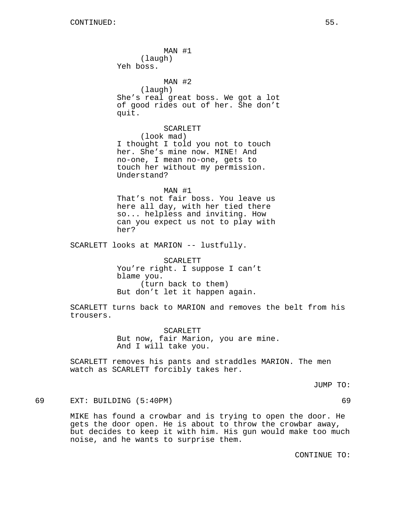MAN #1 (laugh) Yeh boss. MAN #2 (laugh) She's real great boss. We got a lot of good rides out of her. She don't quit. SCARLETT (look mad) I thought I told you not to touch her. She's mine now. MINE! And no-one, I mean no-one, gets to touch her without my permission. Understand? MAN #1 That's not fair boss. You leave us here all day, with her tied there so... helpless and inviting. How can you expect us not to play with her? SCARLETT looks at MARION -- lustfully. SCARLETT You're right. I suppose I can't

blame you. (turn back to them) But don't let it happen again.

SCARLETT turns back to MARION and removes the belt from his trousers.

> SCARLETT But now, fair Marion, you are mine. And I will take you.

SCARLETT removes his pants and straddles MARION. The men watch as SCARLETT forcibly takes her.

JUMP TO:

69 EXT: BUILDING (5:40PM) 69

MIKE has found a crowbar and is trying to open the door. He gets the door open. He is about to throw the crowbar away, but decides to keep it with him. His gun would make too much noise, and he wants to surprise them.

CONTINUE TO: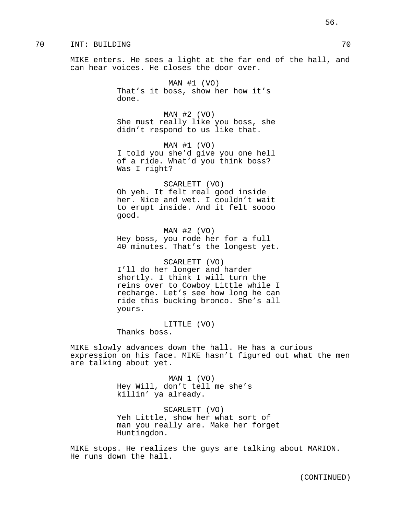## 70 INT: BUILDING 70

MIKE enters. He sees a light at the far end of the hall, and can hear voices. He closes the door over.

> MAN #1 (VO) That's it boss, show her how it's done.

MAN #2 (VO) She must really like you boss, she didn't respond to us like that.

MAN #1 (VO) I told you she'd give you one hell of a ride. What'd you think boss? Was I right?

SCARLETT (VO) Oh yeh. It felt real good inside her. Nice and wet. I couldn't wait to erupt inside. And it felt soooo good.

 $MAN$  #2 (VO) Hey boss, you rode her for a full 40 minutes. That's the longest yet.

SCARLETT (VO) I'll do her longer and harder shortly. I think I will turn the reins over to Cowboy Little while I recharge. Let's see how long he can ride this bucking bronco. She's all yours.

LITTLE (VO) Thanks boss.

MIKE slowly advances down the hall. He has a curious expression on his face. MIKE hasn't figured out what the men are talking about yet.

> MAN 1 (VO) Hey Will, don't tell me she's killin' ya already.

SCARLETT (VO) Yeh Little, show her what sort of man you really are. Make her forget Huntingdon.

MIKE stops. He realizes the guys are talking about MARION. He runs down the hall.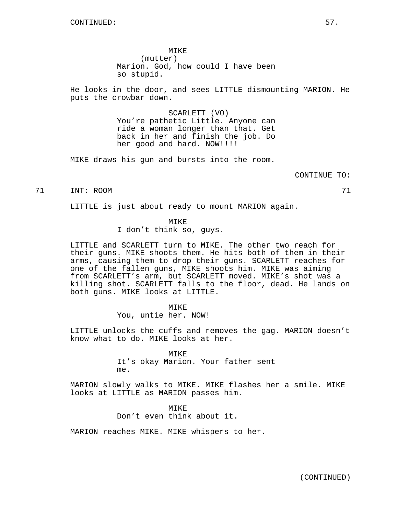MIKE (mutter) Marion. God, how could I have been so stupid.

He looks in the door, and sees LITTLE dismounting MARION. He puts the crowbar down.

> SCARLETT (VO) You're pathetic Little. Anyone can ride a woman longer than that. Get back in her and finish the job. Do her good and hard. NOW!!!!

MIKE draws his gun and bursts into the room.

CONTINUE TO:

#### 71 INT: ROOM 71

LITTLE is just about ready to mount MARION again.

# MIKE

I don't think so, guys.

LITTLE and SCARLETT turn to MIKE. The other two reach for their guns. MIKE shoots them. He hits both of them in their arms, causing them to drop their guns. SCARLETT reaches for one of the fallen guns, MIKE shoots him. MIKE was aiming from SCARLETT's arm, but SCARLETT moved. MIKE's shot was a killing shot. SCARLETT falls to the floor, dead. He lands on both guns. MIKE looks at LITTLE.

### MIKE

You, untie her. NOW!

LITTLE unlocks the cuffs and removes the gag. MARION doesn't know what to do. MIKE looks at her.

**MTKE** 

It's okay Marion. Your father sent me.

MARION slowly walks to MIKE. MIKE flashes her a smile. MIKE looks at LITTLE as MARION passes him.

> MIKE Don't even think about it.

MARION reaches MIKE. MIKE whispers to her.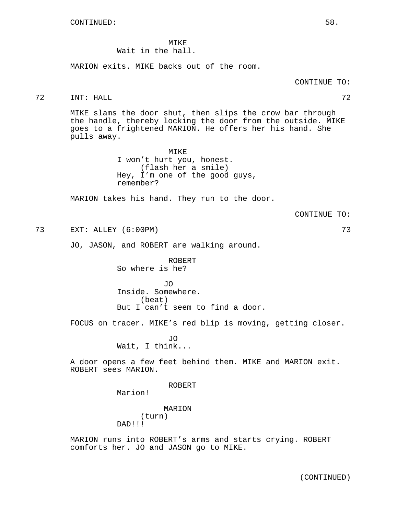MIKE Wait in the hall.

MARION exits. MIKE backs out of the room.

72 INT: HALL 72

MIKE slams the door shut, then slips the crow bar through the handle, thereby locking the door from the outside. MIKE goes to a frightened MARION. He offers her his hand. She pulls away.

> MIKE I won't hurt you, honest. (flash her a smile) Hey, I'm one of the good guys, remember?

MARION takes his hand. They run to the door.

CONTINUE TO:

73 EXT: ALLEY (6:00PM) 73

JO, JASON, and ROBERT are walking around.

ROBERT So where is he?

JO Inside. Somewhere. (beat) But I can't seem to find a door.

FOCUS on tracer. MIKE's red blip is moving, getting closer.

OT. Wait, I think...

A door opens a few feet behind them. MIKE and MARION exit. ROBERT sees MARION.

ROBERT

Marion!

MARION (turn) DAD!!!

MARION runs into ROBERT's arms and starts crying. ROBERT comforts her. JO and JASON go to MIKE.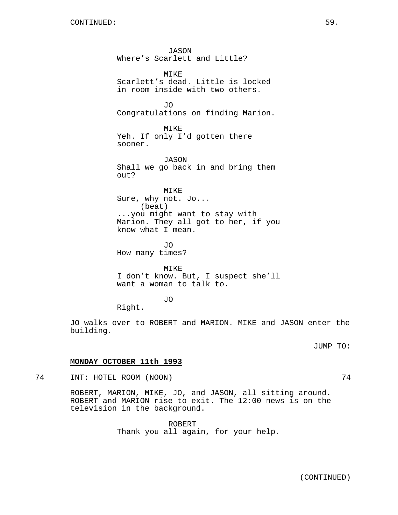JASON Where's Scarlett and Little? MIKE Scarlett's dead. Little is locked in room inside with two others. JO Congratulations on finding Marion. MIKE Yeh. If only I'd gotten there sooner. JASON Shall we go back in and bring them out? MIKE Sure, why not. Jo... (beat) ...you might want to stay with Marion. They all got to her, if you know what I mean. JO How many times? MIKE

I don't know. But, I suspect she'll want a woman to talk to.

# JO

Right.

JO walks over to ROBERT and MARION. MIKE and JASON enter the building.

JUMP TO:

# **MONDAY OCTOBER 11th 1993**

74 INT: HOTEL ROOM (NOON) 74

ROBERT, MARION, MIKE, JO, and JASON, all sitting around. ROBERT and MARION rise to exit. The 12:00 news is on the television in the background.

> ROBERT Thank you all again, for your help.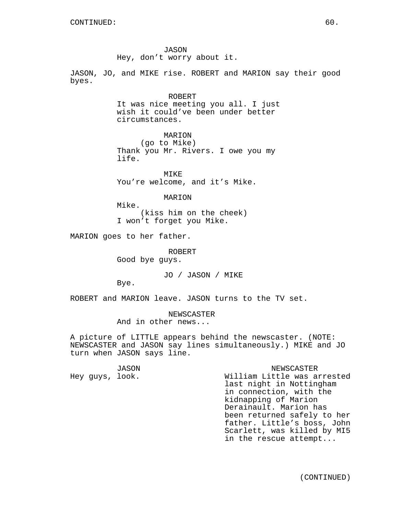JASON Hey, don't worry about it.

JASON, JO, and MIKE rise. ROBERT and MARION say their good byes.

# ROBERT

It was nice meeting you all. I just wish it could've been under better circumstances.

> MARION (go to Mike)

Thank you Mr. Rivers. I owe you my life.

MIKE You're welcome, and it's Mike.

MARION

Mike. (kiss him on the cheek) I won't forget you Mike.

MARION goes to her father.

ROBERT Good bye guys.

JO / JASON / MIKE

Bye.

ROBERT and MARION leave. JASON turns to the TV set.

NEWSCASTER And in other news...

A picture of LITTLE appears behind the newscaster. (NOTE: NEWSCASTER and JASON say lines simultaneously.) MIKE and JO turn when JASON says line.

JASON

Hey guys, look.

NEWSCASTER William Little was arrested last night in Nottingham in connection, with the kidnapping of Marion Derainault. Marion has been returned safely to her father. Little's boss, John Scarlett, was killed by MI5 in the rescue attempt...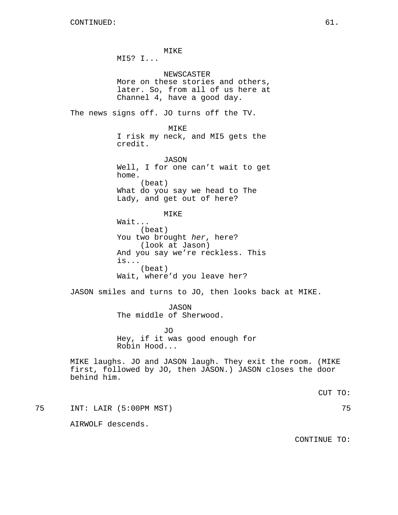MIKE MI5? I... NEWSCASTER More on these stories and others, later. So, from all of us here at Channel 4, have a good day. The news signs off. JO turns off the TV. MIKE I risk my neck, and MI5 gets the credit. JASON Well, I for one can't wait to get home. (beat) What do you say we head to The Lady, and get out of here? MIKE Wait... (beat) You two brought her, here? (look at Jason) And you say we're reckless. This is... (beat) Wait, where'd you leave her? JASON smiles and turns to JO, then looks back at MIKE. JASON The middle of Sherwood. JO Hey, if it was good enough for Robin Hood... MIKE laughs. JO and JASON laugh. They exit the room. (MIKE first, followed by JO, then JASON.) JASON closes the door behind him. CUT TO: 75 INT: LAIR (5:00PM MST) 75 AIRWOLF descends.

CONTINUE TO: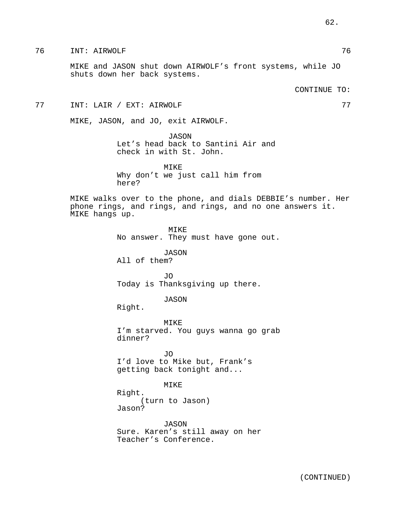MIKE and JASON shut down AIRWOLF's front systems, while JO shuts down her back systems.

CONTINUE TO:

77 INT: LAIR / EXT: AIRWOLF 77

MIKE, JASON, and JO, exit AIRWOLF.

JASON Let's head back to Santini Air and check in with St. John.

MIKE Why don't we just call him from here?

MIKE walks over to the phone, and dials DEBBIE's number. Her phone rings, and rings, and rings, and no one answers it. MIKE hangs up.

> MIKE No answer. They must have gone out.

JASON All of them?

JO Today is Thanksgiving up there.

JASON

Right.

MIKE I'm starved. You guys wanna go grab dinner?

JO I'd love to Mike but, Frank's getting back tonight and...

MIKE

Right. (turn to Jason) Jason?

JASON Sure. Karen's still away on her Teacher's Conference.

62.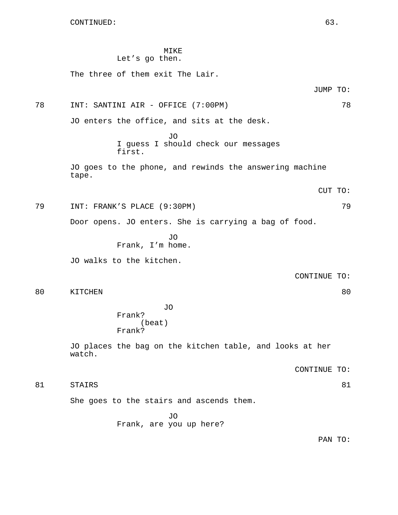# MIKE

# Let's go then.

The three of them exit The Lair.

JUMP TO:

78 INT: SANTINI AIR - OFFICE (7:00PM) 78

JO enters the office, and sits at the desk.

JO I guess I should check our messages first.

JO goes to the phone, and rewinds the answering machine tape.

CUT TO:

79 INT: FRANK'S PLACE (9:30PM) 79

Door opens. JO enters. She is carrying a bag of food.

JO Frank, I'm home.

JO walks to the kitchen.

CONTINUE TO:

80 KITCHEN 80

JO Frank? (beat) Frank?

JO places the bag on the kitchen table, and looks at her watch.

CONTINUE TO:

81 STAIRS 81

She goes to the stairs and ascends them.

JO Frank, are you up here?

PAN TO: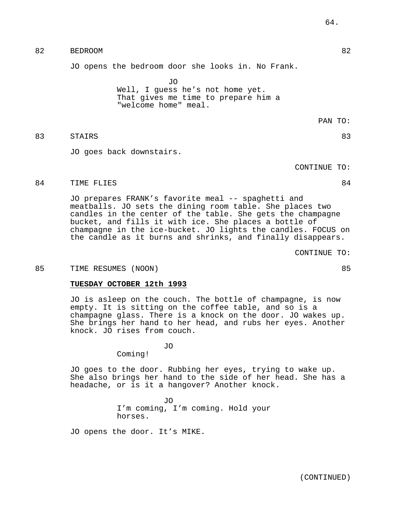# 82 BEDROOM 82

JO opens the bedroom door she looks in. No Frank.

JO Well, I guess he's not home yet. That gives me time to prepare him a "welcome home" meal.

PAN TO:

# 83 STAIRS 83

JO goes back downstairs.

CONTINUE TO:

# 84 TIME FLIES 84

JO prepares FRANK's favorite meal -- spaghetti and meatballs. JO sets the dining room table. She places two candles in the center of the table. She gets the champagne bucket, and fills it with ice. She places a bottle of champagne in the ice-bucket. JO lights the candles. FOCUS on the candle as it burns and shrinks, and finally disappears.

CONTINUE TO:

### 85 TIME RESUMES (NOON) 85

### **TUESDAY OCTOBER 12th 1993**

JO is asleep on the couch. The bottle of champagne, is now empty. It is sitting on the coffee table, and so is a champagne glass. There is a knock on the door. JO wakes up. She brings her hand to her head, and rubs her eyes. Another knock. JO rises from couch.

JO

Coming!

JO goes to the door. Rubbing her eyes, trying to wake up. She also brings her hand to the side of her head. She has a headache, or is it a hangover? Another knock.

> JO I'm coming, I'm coming. Hold your horses.

JO opens the door. It's MIKE.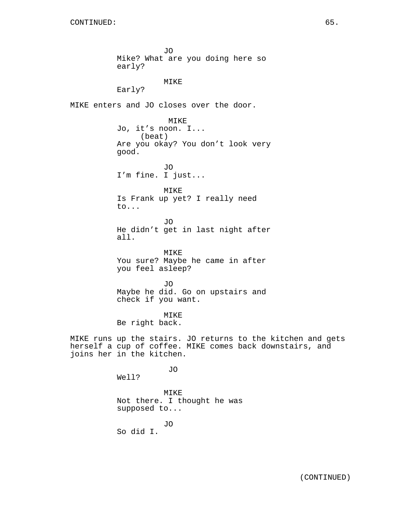JO Mike? What are you doing here so early? MIKE Early? MIKE enters and JO closes over the door. MIKE Jo, it's noon. I... (beat) Are you okay? You don't look very good. JO I'm fine. I just... MIKE Is Frank up yet? I really need to... JO He didn't get in last night after all. MIKE You sure? Maybe he came in after you feel asleep? JO Maybe he did. Go on upstairs and check if you want. MIKE Be right back. MIKE runs up the stairs. JO returns to the kitchen and gets herself a cup of coffee. MIKE comes back downstairs, and joins her in the kitchen. JO Well? MIKE Not there. I thought he was supposed to... JO So did I.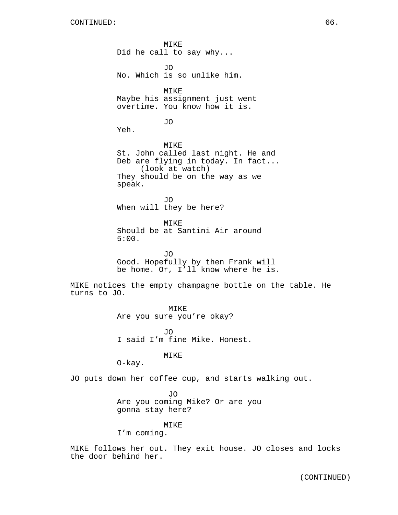MIKE Did he call to say why... JO No. Which is so unlike him. MIKE Maybe his assignment just went overtime. You know how it is. JO Yeh. MIKE St. John called last night. He and Deb are flying in today. In fact... (look at watch) They should be on the way as we speak. JO When will they be here? MIKE Should be at Santini Air around 5:00. JO Good. Hopefully by then Frank will be home. Or, I'll know where he is. MIKE notices the empty champagne bottle on the table. He turns to JO. MIKE Are you sure you're okay? JO I said I'm fine Mike. Honest. MIKE O-kay. JO puts down her coffee cup, and starts walking out.

> JO Are you coming Mike? Or are you gonna stay here?

> > MIKE

I'm coming.

MIKE follows her out. They exit house. JO closes and locks the door behind her.

(CONTINUED)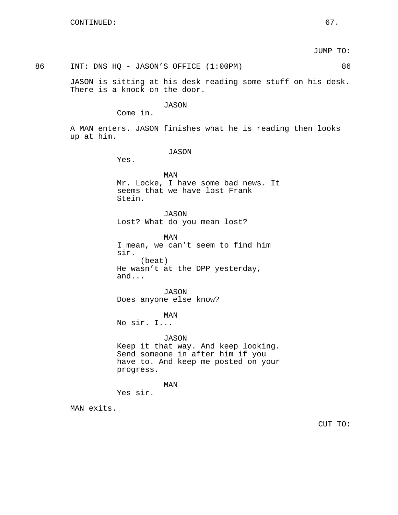JUMP TO:

# 86 INT: DNS HQ - JASON'S OFFICE (1:00PM) 86

JASON is sitting at his desk reading some stuff on his desk. There is a knock on the door.

# JASON

Come in.

A MAN enters. JASON finishes what he is reading then looks up at him.

JASON

Yes.

MAN Mr. Locke, I have some bad news. It seems that we have lost Frank Stein.

JASON Lost? What do you mean lost?

MAN I mean, we can't seem to find him sir. (beat) He wasn't at the DPP yesterday, and...

JASON Does anyone else know?

# MAN

No sir. I...

JASON Keep it that way. And keep looking. Send someone in after him if you have to. And keep me posted on your progress.

MAN

Yes sir.

MAN exits.

CUT TO: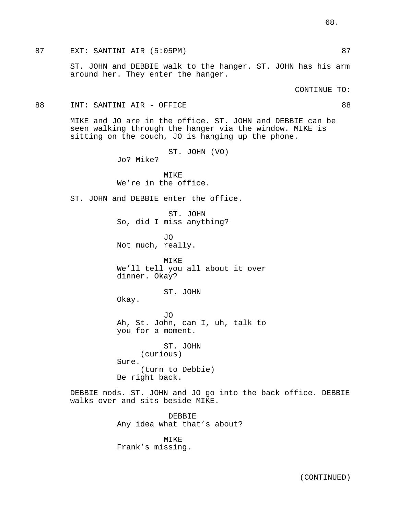87 EXT: SANTINI AIR (5:05PM) 87 and 87

ST. JOHN and DEBBIE walk to the hanger. ST. JOHN has his arm around her. They enter the hanger.

CONTINUE TO:

88 INT: SANTINI AIR - OFFICE 88

MIKE and JO are in the office. ST. JOHN and DEBBIE can be seen walking through the hanger via the window. MIKE is sitting on the couch, JO is hanging up the phone.

> ST. JOHN (VO) Jo? Mike?

MIKE We're in the office.

ST. JOHN and DEBBIE enter the office.

ST. JOHN So, did I miss anything?

JO Not much, really.

MIKE We'll tell you all about it over dinner. Okay?

ST. JOHN

Okay.

JO Ah, St. John, can I, uh, talk to you for a moment.

ST. JOHN (curious) Sure. (turn to Debbie) Be right back.

DEBBIE nods. ST. JOHN and JO go into the back office. DEBBIE walks over and sits beside MIKE.

> DEBBIE Any idea what that's about?

MIKE Frank's missing.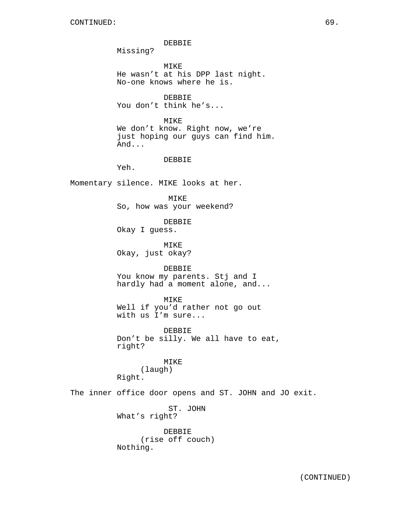DEBBIE Missing? MIKE He wasn't at his DPP last night. No-one knows where he is. DEBBIE You don't think he's... MIKE We don't know. Right now, we're just hoping our guys can find him. And... DEBBIE Yeh. Momentary silence. MIKE looks at her. MIKE So, how was your weekend? DEBBIE Okay I guess. MIKE Okay, just okay? DEBBIE You know my parents. Stj and I hardly had a moment alone, and... MIKE Well if you'd rather not go out with us I'm sure... DEBBIE Don't be silly. We all have to eat, right? MIKE (laugh) Right. The inner office door opens and ST. JOHN and JO exit. ST. JOHN What's right? DEBBIE (rise off couch) Nothing.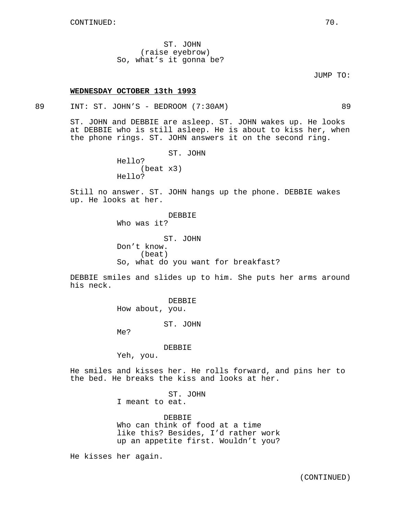ST. JOHN (raise eyebrow) So, what's it gonna be?

## JUMP TO:

### **WEDNESDAY OCTOBER 13th 1993**

89 INT: ST. JOHN'S - BEDROOM (7:30AM) 89

ST. JOHN and DEBBIE are asleep. ST. JOHN wakes up. He looks at DEBBIE who is still asleep. He is about to kiss her, when the phone rings. ST. JOHN answers it on the second ring.

> ST. JOHN Hello? (beat x3) Hello?

Still no answer. ST. JOHN hangs up the phone. DEBBIE wakes up. He looks at her.

> DEBBIE Who was it? ST. JOHN Don't know. (beat) So, what do you want for breakfast?

DEBBIE smiles and slides up to him. She puts her arms around his neck.

> DEBBIE How about, you.

> > ST. JOHN

Me?

DEBBIE

Yeh, you.

He smiles and kisses her. He rolls forward, and pins her to the bed. He breaks the kiss and looks at her.

> ST. JOHN I meant to eat.

DEBBIE Who can think of food at a time like this? Besides, I'd rather work up an appetite first. Wouldn't you?

He kisses her again.

(CONTINUED)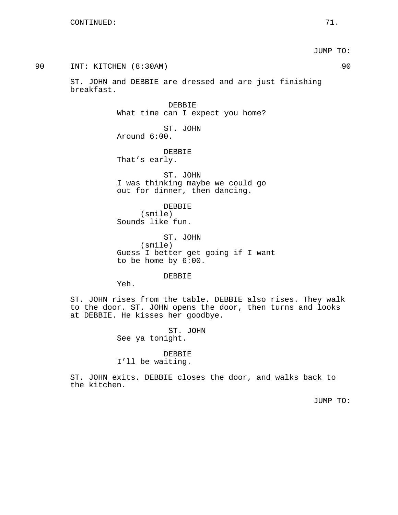JUMP TO:

| t. | and DEBBIE are dressed and are just finishing                                 |
|----|-------------------------------------------------------------------------------|
|    | DEBBIE<br>What time can I expect you home?                                    |
|    | ST. JOHN<br>Around $6:00$ .                                                   |
|    | DEBBIE<br>That's early.                                                       |
|    | ST. JOHN<br>I was thinking maybe we could go<br>out for dinner, then dancing. |
|    | <b>DEBBIE</b><br>(smile)<br>Sounds like fun.                                  |
|    | ST. JOHN<br>$(\text{smil}\,\Theta)$                                           |

(smile) Guess I better get going if I want to be home by 6:00.

DEBBIE

Yeh.

ST. JOHN rises from the table. DEBBIE also rises. They walk to the door. ST. JOHN opens the door, then turns and looks at DEBBIE. He kisses her goodbye.

> ST. JOHN See ya tonight.

# DEBBIE

I'll be waiting.

ST. JOHN exits. DEBBIE closes the door, and walks back to the kitchen.

JUMP TO:

90 INT: KITCHEN (8:30AM) 90

ST. JOHN breakfas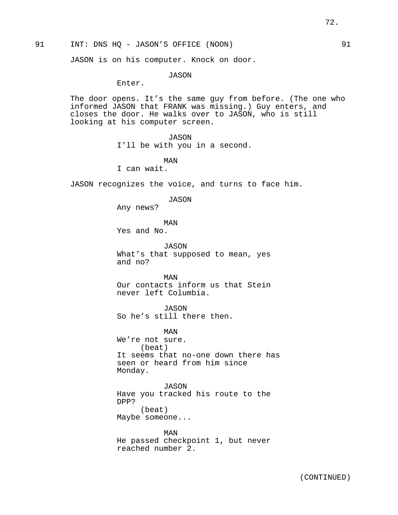91 INT: DNS HQ - JASON'S OFFICE (NOON) 91

JASON is on his computer. Knock on door.

JASON

Enter.

The door opens. It's the same guy from before. (The one who informed JASON that FRANK was missing.) Guy enters, and closes the door. He walks over to JASON, who is still looking at his computer screen.

JASON

I'll be with you in a second.

MAN I can wait.

JASON recognizes the voice, and turns to face him.

JASON

Any news?

MAN

Yes and No.

JASON What's that supposed to mean, yes and no?

MAN Our contacts inform us that Stein never left Columbia.

JASON So he's still there then.

MAN We're not sure. (beat) It seems that no-one down there has seen or heard from him since Monday.

JASON Have you tracked his route to the DPP? (beat) Maybe someone...

MAN He passed checkpoint 1, but never reached number 2.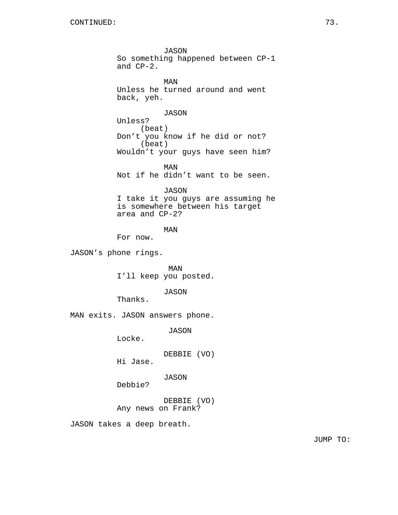JASON So something happened between CP-1 and CP-2. MAN Unless he turned around and went back, yeh. JASON Unless? (beat) Don't you know if he did or not? (beat) Wouldn't your guys have seen him? MAN Not if he didn't want to be seen. JASON I take it you guys are assuming he is somewhere between his target area and CP-2? MAN For now. JASON's phone rings. MAN I'll keep you posted. JASON Thanks. MAN exits. JASON answers phone. JASON Locke. DEBBIE (VO) Hi Jase. JASON Debbie? DEBBIE (VO)

Any news on Frank?

JASON takes a deep breath.

JUMP TO: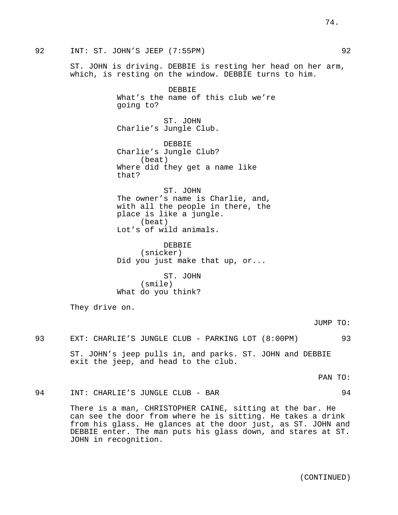74.

92 INT: ST. JOHN'S JEEP (7:55PM) 92

ST. JOHN is driving. DEBBIE is resting her head on her arm, which, is resting on the window. DEBBIE turns to him.

> DEBBIE What's the name of this club we're going to?

ST. JOHN Charlie's Jungle Club.

DEBBIE Charlie's Jungle Club? (beat) Where did they get a name like that?

ST. JOHN The owner's name is Charlie, and, with all the people in there, the place is like a jungle. (beat) Lot's of wild animals.

DEBBIE (snicker) Did you just make that up, or...

ST. JOHN (smile) What do you think?

They drive on.

JUMP TO:

93 EXT: CHARLIE'S JUNGLE CLUB - PARKING LOT (8:00PM) 93 ST. JOHN's jeep pulls in, and parks. ST. JOHN and DEBBIE exit the jeep, and head to the club.

PAN TO:

94 INT: CHARLIE'S JUNGLE CLUB - BAR 94

There is a man, CHRISTOPHER CAINE, sitting at the bar. He can see the door from where he is sitting. He takes a drink from his glass. He glances at the door just, as ST. JOHN and DEBBIE enter. The man puts his glass down, and stares at ST. JOHN in recognition.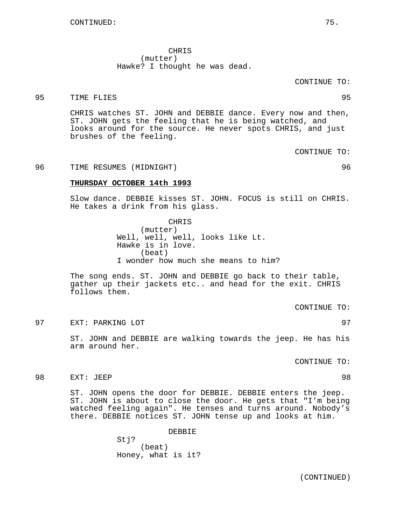CHRIS (mutter) Hawke? I thought he was dead.

### CONTINUE TO:

## 95 TIME FLIES 95

CHRIS watches ST. JOHN and DEBBIE dance. Every now and then, ST. JOHN gets the feeling that he is being watched, and looks around for the source. He never spots CHRIS, and just brushes of the feeling.

CONTINUE TO:

96 TIME RESUMES (MIDNIGHT) 96

**THURSDAY OCTOBER 14th 1993**

Slow dance. DEBBIE kisses ST. JOHN. FOCUS is still on CHRIS. He takes a drink from his glass.

> CHRIS (mutter) Well, well, well, looks like Lt. Hawke is in love. (beat) I wonder how much she means to him?

The song ends. ST. JOHN and DEBBIE go back to their table, gather up their jackets etc.. and head for the exit. CHRIS follows them.

CONTINUE TO:

97 EXT: PARKING LOT 97

ST. JOHN and DEBBIE are walking towards the jeep. He has his arm around her.

CONTINUE TO:

98 EXT: JEEP 98

ST. JOHN opens the door for DEBBIE. DEBBIE enters the jeep. ST. JOHN is about to close the door. He gets that "I'm being watched feeling again". He tenses and turns around. Nobody's there. DEBBIE notices ST. JOHN tense up and looks at him.

> DEBBIE Sti? (beat) Honey, what is it?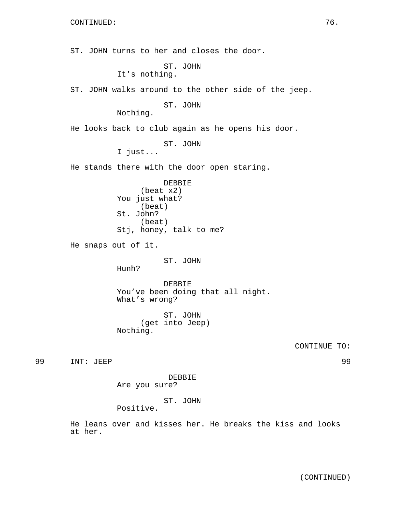ST. JOHN turns to her and closes the door. ST. JOHN It's nothing. ST. JOHN walks around to the other side of the jeep. ST. JOHN Nothing. He looks back to club again as he opens his door. ST. JOHN I just... He stands there with the door open staring. DEBBIE (beat x2) You just what? (beat) St. John? (beat) Stj, honey, talk to me? He snaps out of it. ST. JOHN Hunh? DEBBIE You've been doing that all night. What's wrong? ST. JOHN (get into Jeep) Nothing. CONTINUE TO: 99 INT: JEEP 99 DEBBIE Are you sure? ST. JOHN Positive.

He leans over and kisses her. He breaks the kiss and looks at her.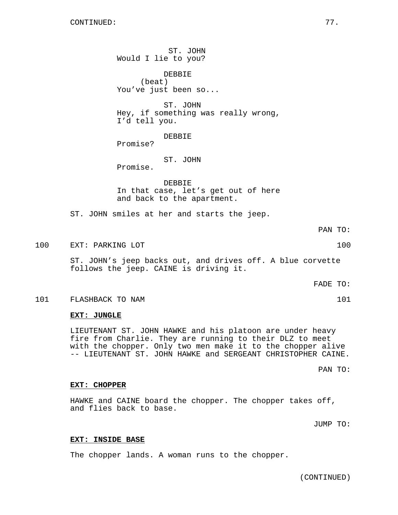ST. JOHN Would I lie to you?

DEBBIE (beat) You've just been so...

ST. JOHN Hey, if something was really wrong, I'd tell you.

DEBBIE

Promise?

### ST. JOHN

Promise.

DEBBIE In that case, let's get out of here and back to the apartment.

ST. JOHN smiles at her and starts the jeep.

PAN TO:

100 EXT: PARKING LOT 100

ST. JOHN's jeep backs out, and drives off. A blue corvette follows the jeep. CAINE is driving it.

FADE TO:

#### 101 FLASHBACK TO NAM 101

### **EXT: JUNGLE**

LIEUTENANT ST. JOHN HAWKE and his platoon are under heavy fire from Charlie. They are running to their DLZ to meet with the chopper. Only two men make it to the chopper alive -- LIEUTENANT ST. JOHN HAWKE and SERGEANT CHRISTOPHER CAINE.

PAN TO:

#### **EXT: CHOPPER**

HAWKE and CAINE board the chopper. The chopper takes off, and flies back to base.

JUMP TO:

### **EXT: INSIDE BASE**

The chopper lands. A woman runs to the chopper.

(CONTINUED)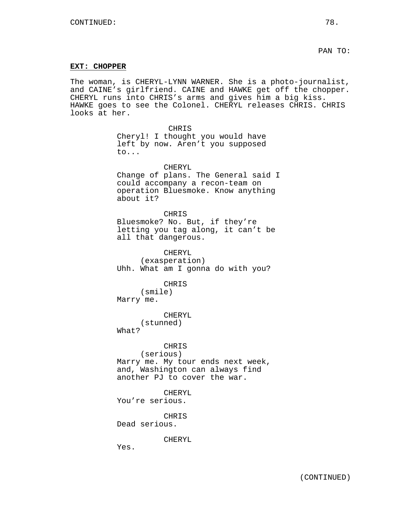### **EXT: CHOPPER**

The woman, is CHERYL-LYNN WARNER. She is a photo-journalist, and CAINE's girlfriend. CAINE and HAWKE get off the chopper. CHERYL runs into CHRIS's arms and gives him a big kiss. HAWKE goes to see the Colonel. CHERYL releases CHRIS. CHRIS looks at her.

> CHRIS Cheryl! I thought you would have left by now. Aren't you supposed to...

CHERYL Change of plans. The General said I could accompany a recon-team on operation Bluesmoke. Know anything about it?

CHRIS Bluesmoke? No. But, if they're letting you tag along, it can't be all that dangerous.

CHERYL (exasperation) Uhh. What am I gonna do with you?

CHRIS (smile) Marry me.

CHERYL (stunned) What?

CHRIS (serious) Marry me. My tour ends next week, and, Washington can always find another PJ to cover the war.

CHERYL You're serious.

CHRIS

Dead serious.

CHERYL

Yes.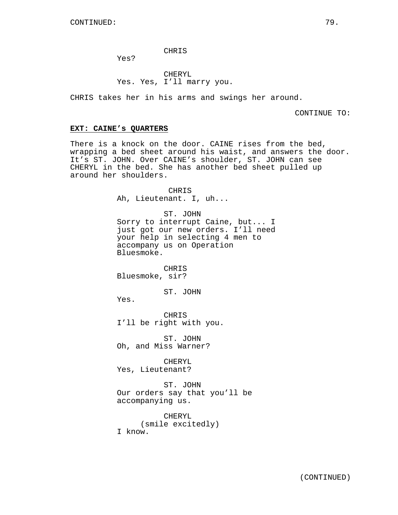### CHRIS

Yes?

CHERYL Yes. Yes, I'll marry you.

CHRIS takes her in his arms and swings her around.

CONTINUE TO:

## **EXT: CAINE's QUARTERS**

There is a knock on the door. CAINE rises from the bed, wrapping a bed sheet around his waist, and answers the door. It's ST. JOHN. Over CAINE's shoulder, ST. JOHN can see CHERYL in the bed. She has another bed sheet pulled up around her shoulders.

> CHRIS Ah, Lieutenant. I, uh...

ST. JOHN Sorry to interrupt Caine, but... I just got our new orders. I'll need your help in selecting 4 men to accompany us on Operation Bluesmoke.

CHRIS Bluesmoke, sir?

ST. JOHN

Yes.

CHRIS I'll be right with you.

ST. JOHN Oh, and Miss Warner?

CHERYL Yes, Lieutenant?

ST. JOHN Our orders say that you'll be accompanying us.

CHERYL (smile excitedly) I know.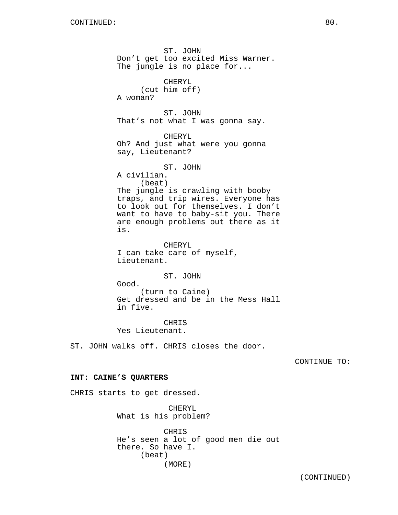ST. JOHN Don't get too excited Miss Warner. The jungle is no place for... CHERYL (cut him off) A woman? ST. JOHN That's not what I was gonna say. CHERYL Oh? And just what were you gonna say, Lieutenant? ST. JOHN A civilian. (beat) The jungle is crawling with booby traps, and trip wires. Everyone has to look out for themselves. I don't want to have to baby-sit you. There are enough problems out there as it is. CHERYL I can take care of myself, Lieutenant. ST. JOHN Good. (turn to Caine) Get dressed and be in the Mess Hall in five. CHRIS

Yes Lieutenant.

ST. JOHN walks off. CHRIS closes the door.

CONTINUE TO:

### **INT: CAINE'S QUARTERS**

CHRIS starts to get dressed.

CHERYL What is his problem?

CHRIS He's seen a lot of good men die out there. So have I. (beat) (MORE)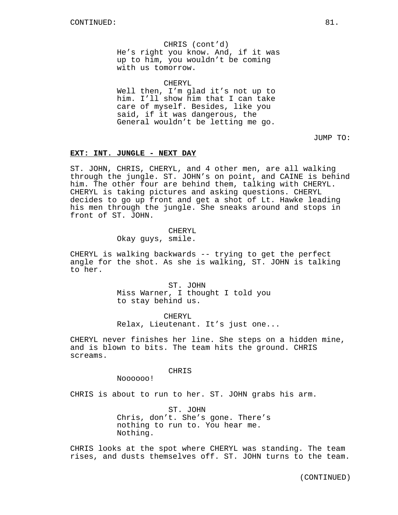CHRIS (cont'd) He's right you know. And, if it was up to him, you wouldn't be coming with us tomorrow.

CHERYL

Well then, I'm glad it's not up to him. I'll show him that I can take care of myself. Besides, like you said, if it was dangerous, the General wouldn't be letting me go.

JUMP TO:

## **EXT: INT. JUNGLE - NEXT DAY**

ST. JOHN, CHRIS, CHERYL, and 4 other men, are all walking through the jungle. ST. JOHN's on point, and CAINE is behind him. The other four are behind them, talking with CHERYL. CHERYL is taking pictures and asking questions. CHERYL decides to go up front and get a shot of Lt. Hawke leading his men through the jungle. She sneaks around and stops in front of ST. JOHN.

#### CHERYL

Okay guys, smile.

CHERYL is walking backwards -- trying to get the perfect angle for the shot. As she is walking, ST. JOHN is talking to her.

> ST. JOHN Miss Warner, I thought I told you to stay behind us.

CHERYL Relax, Lieutenant. It's just one...

CHERYL never finishes her line. She steps on a hidden mine, and is blown to bits. The team hits the ground. CHRIS screams.

### CHRIS

Noooooo!

CHRIS is about to run to her. ST. JOHN grabs his arm.

ST. JOHN Chris, don't. She's gone. There's nothing to run to. You hear me. Nothing.

CHRIS looks at the spot where CHERYL was standing. The team rises, and dusts themselves off. ST. JOHN turns to the team.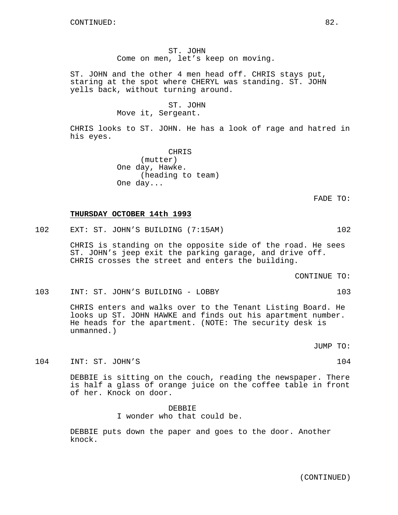ST. JOHN Come on men, let's keep on moving.

ST. JOHN and the other 4 men head off. CHRIS stays put, staring at the spot where CHERYL was standing. ST. JOHN yells back, without turning around.

> ST. JOHN Move it, Sergeant.

CHRIS looks to ST. JOHN. He has a look of rage and hatred in his eyes.

> CHRIS (mutter) One day, Hawke. (heading to team) One day...

> > FADE TO:

### **THURSDAY OCTOBER 14th 1993**

102 EXT: ST. JOHN'S BUILDING (7:15AM) 102

CHRIS is standing on the opposite side of the road. He sees ST. JOHN's jeep exit the parking garage, and drive off. CHRIS crosses the street and enters the building.

CONTINUE TO:

103 INT: ST. JOHN'S BUILDING - LOBBY 103

CHRIS enters and walks over to the Tenant Listing Board. He looks up ST. JOHN HAWKE and finds out his apartment number. He heads for the apartment. (NOTE: The security desk is unmanned.)

JUMP TO:

104 INT: ST. JOHN'S 2008 2010 104

DEBBIE is sitting on the couch, reading the newspaper. There is half a glass of orange juice on the coffee table in front of her. Knock on door.

> DEBBIE I wonder who that could be.

DEBBIE puts down the paper and goes to the door. Another knock.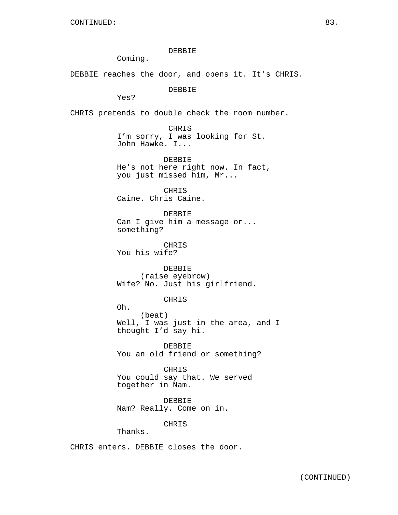DEBBIE Coming. DEBBIE reaches the door, and opens it. It's CHRIS. DEBBIE Yes? CHRIS pretends to double check the room number. CHRIS I'm sorry, I was looking for St. John Hawke. I... DEBBIE He's not here right now. In fact, you just missed him, Mr... CHRIS Caine. Chris Caine. DEBBIE Can I give him a message or... something? CHRIS You his wife? DEBBIE (raise eyebrow) Wife? No. Just his girlfriend. CHRIS Oh. (beat) Well, I was just in the area, and I thought I'd say hi. DEBBIE You an old friend or something? CHRIS You could say that. We served together in Nam. DEBBIE Nam? Really. Come on in.

CHRIS

Thanks.

CHRIS enters. DEBBIE closes the door.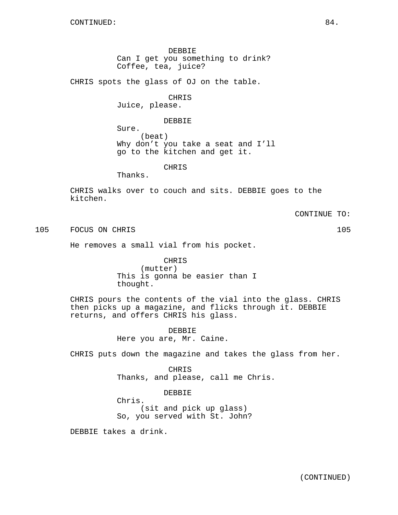DEBBIE Can I get you something to drink? Coffee, tea, juice?

CHRIS spots the glass of OJ on the table.

CHRIS

Juice, please.

### DEBBIE

Sure. (beat) Why don't you take a seat and I'll go to the kitchen and get it.

CHRIS

Thanks.

CHRIS walks over to couch and sits. DEBBIE goes to the kitchen.

CONTINUE TO:

105 FOCUS ON CHRIS 105

He removes a small vial from his pocket.

CHRIS (mutter) This is gonna be easier than I thought.

CHRIS pours the contents of the vial into the glass. CHRIS then picks up a magazine, and flicks through it. DEBBIE returns, and offers CHRIS his glass.

> DEBBIE Here you are, Mr. Caine.

CHRIS puts down the magazine and takes the glass from her.

**CHRIS** Thanks, and please, call me Chris.

DEBBIE

Chris. (sit and pick up glass) So, you served with St. John?

DEBBIE takes a drink.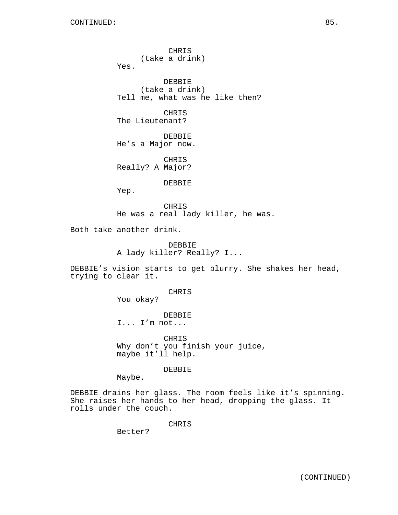CHRIS (take a drink) Yes. DEBBIE (take a drink) Tell me, what was he like then? CHRIS The Lieutenant? DEBBIE He's a Major now. CHRIS Really? A Major? DEBBIE Yep. CHRIS He was a real lady killer, he was. Both take another drink. DEBBIE A lady killer? Really? I... DEBBIE's vision starts to get blurry. She shakes her head, trying to clear it. CHRIS You okay? DEBBIE I... I'm not... CHRIS

Why don't you finish your juice, maybe it'll help.

DEBBIE

Maybe.

DEBBIE drains her glass. The room feels like it's spinning. She raises her hands to her head, dropping the glass. It rolls under the couch.

CHRIS

Better?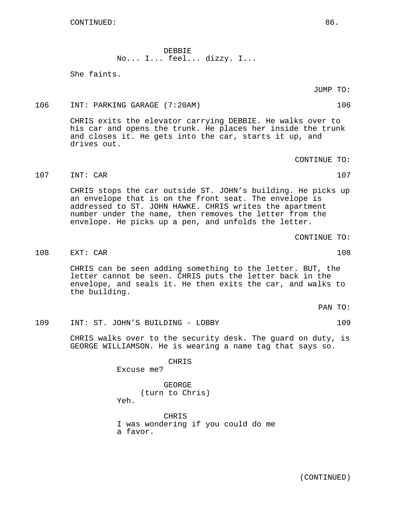DEBBIE No... I... feel... dizzy. I...

She faints.

JUMP TO:

106 INT: PARKING GARAGE (7:20AM) 106

CHRIS exits the elevator carrying DEBBIE. He walks over to his car and opens the trunk. He places her inside the trunk and closes it. He gets into the car, starts it up, and drives out.

CONTINUE TO:

107 INT: CAR 107

CHRIS stops the car outside ST. JOHN's building. He picks up an envelope that is on the front seat. The envelope is addressed to ST. JOHN HAWKE. CHRIS writes the apartment number under the name, then removes the letter from the envelope. He picks up a pen, and unfolds the letter.

CONTINUE TO:

108 EXT: CAR 108 EXT: CAR 108

CHRIS can be seen adding something to the letter. BUT, the letter cannot be seen. CHRIS puts the letter back in the envelope, and seals it. He then exits the car, and walks to the building.

PAN TO:

109 INT: ST. JOHN'S BUILDING - LOBBY 109

CHRIS walks over to the security desk. The guard on duty, is GEORGE WILLIAMSON. He is wearing a name tag that says so.

CHRIS

Excuse me?

GEORGE (turn to Chris) Yeh.

CHRIS I was wondering if you could do me a favor.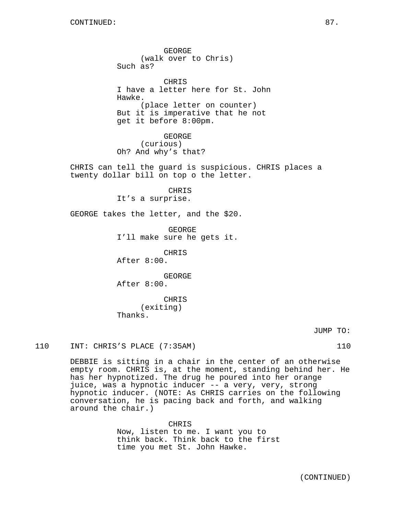GEORGE (walk over to Chris) Such as? CHRIS I have a letter here for St. John Hawke. (place letter on counter) But it is imperative that he not get it before 8:00pm. GEORGE (curious) Oh? And why's that? CHRIS can tell the guard is suspicious. CHRIS places a twenty dollar bill on top o the letter. CHRIS It's a surprise. GEORGE takes the letter, and the \$20. GEORGE I'll make sure he gets it. CHRIS After 8:00. GEORGE After 8:00.

> CHRIS (exiting) Thanks.

> > JUMP TO:

110 INT: CHRIS'S PLACE (7:35AM) 110

DEBBIE is sitting in a chair in the center of an otherwise empty room. CHRIS is, at the moment, standing behind her. He has her hypnotized. The drug he poured into her orange juice, was a hypnotic inducer -- a very, very, strong hypnotic inducer. (NOTE: As CHRIS carries on the following conversation, he is pacing back and forth, and walking around the chair.)

> CHRIS Now, listen to me. I want you to think back. Think back to the first time you met St. John Hawke.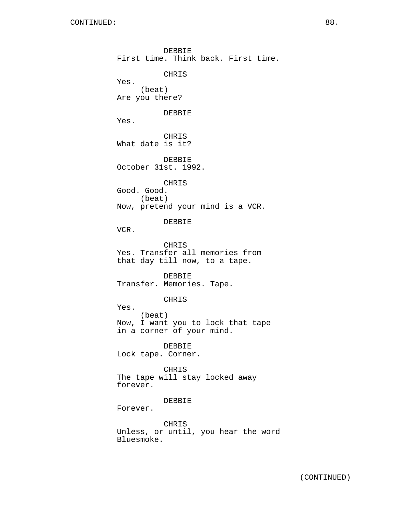DEBBIE First time. Think back. First time. CHRIS Yes. (beat) Are you there? DEBBIE Yes. CHRIS What date is it? DEBBIE October 31st. 1992. CHRIS Good. Good. (beat) Now, pretend your mind is a VCR. DEBBIE VCR. CHRIS Yes. Transfer all memories from that day till now, to a tape. DEBBIE Transfer. Memories. Tape. CHRIS Yes. (beat) Now, I want you to lock that tape in a corner of your mind. DEBBIE Lock tape. Corner. CHRIS The tape will stay locked away forever. DEBBIE Forever. CHRIS

Unless, or until, you hear the word Bluesmoke.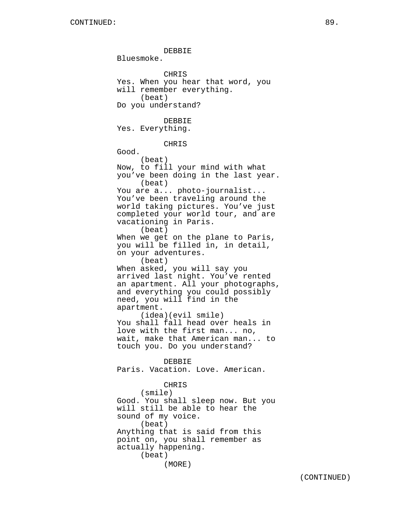DEBBIE Bluesmoke. **CHRIS** Yes. When you hear that word, you will remember everything. (beat) Do you understand? DEBBIE Yes. Everything. CHRIS Good. (beat) Now, to fill your mind with what you've been doing in the last year. (beat) You are a... photo-journalist... You've been traveling around the world taking pictures. You've just completed your world tour, and are vacationing in Paris. (beat) When we get on the plane to Paris, you will be filled in, in detail, on your adventures. (beat) When asked, you will say you arrived last night. You've rented an apartment. All your photographs, and everything you could possibly need, you will find in the apartment. (idea)(evil smile) You shall fall head over heals in love with the first man... no, wait, make that American man... to touch you. Do you understand? DEBBIE Paris. Vacation. Love. American. CHRIS (smile) Good. You shall sleep now. But you will still be able to hear the sound of my voice. (beat) Anything that is said from this point on, you shall remember as actually happening. (beat)

(CONTINUED)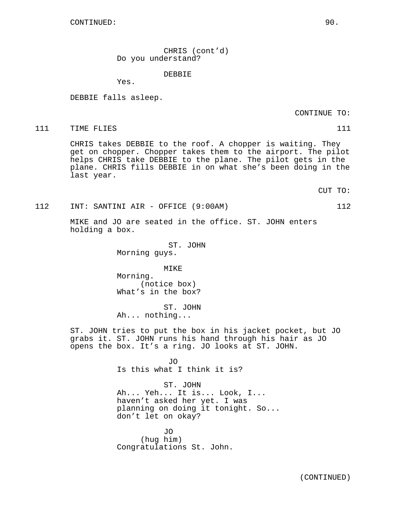CHRIS (cont'd) Do you understand?

DEBBIE

Yes.

DEBBIE falls asleep.

CONTINUE TO:

111 TIME FLIES 111 2012 112

CHRIS takes DEBBIE to the roof. A chopper is waiting. They get on chopper. Chopper takes them to the airport. The pilot helps CHRIS take DEBBIE to the plane. The pilot gets in the plane. CHRIS fills DEBBIE in on what she's been doing in the last year.

CUT TO:

112 INT: SANTINI AIR - OFFICE (9:00AM) 112

MIKE and JO are seated in the office. ST. JOHN enters holding a box.

> ST. JOHN Morning guys.

> > MIKE

Morning. (notice box) What's in the box?

ST. JOHN Ah... nothing...

ST. JOHN tries to put the box in his jacket pocket, but JO grabs it. ST. JOHN runs his hand through his hair as JO opens the box. It's a ring. JO looks at ST. JOHN.

> JO Is this what I think it is?

ST. JOHN Ah... Yeh... It is... Look, I... haven't asked her yet. I was planning on doing it tonight. So... don't let on okay?

JO (hug him) Congratulations St. John.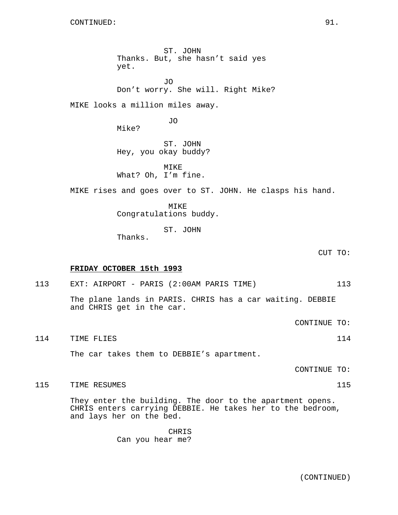ST. JOHN Thanks. But, she hasn't said yes yet. JO Don't worry. She will. Right Mike? MIKE looks a million miles away. JO Mike? ST. JOHN Hey, you okay buddy? MTK<sub>E</sub> What? Oh, I'm fine. MIKE rises and goes over to ST. JOHN. He clasps his hand. MIKE Congratulations buddy. ST. JOHN Thanks. CUT TO: **FRIDAY OCTOBER 15th 1993** 113 EXT: AIRPORT - PARIS (2:00AM PARIS TIME) 113 The plane lands in PARIS. CHRIS has a car waiting. DEBBIE and CHRIS get in the car. CONTINUE TO: 114 TIME FLIES 114 The car takes them to DEBBIE's apartment. CONTINUE TO:

115 TIME RESUMES 115

They enter the building. The door to the apartment opens. CHRIS enters carrying DEBBIE. He takes her to the bedroom, and lays her on the bed.

> CHRIS Can you hear me?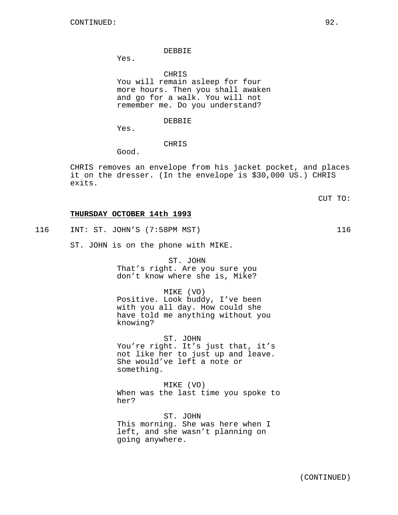#### DEBBIE

Yes.

CHRIS

You will remain asleep for four more hours. Then you shall awaken and go for a walk. You will not remember me. Do you understand?

### DEBBIE

Yes.

## CHRIS

Good.

CHRIS removes an envelope from his jacket pocket, and places it on the dresser. (In the envelope is \$30,000 US.) CHRIS exits.

CUT TO:

### **THURSDAY OCTOBER 14th 1993**

116 INT: ST. JOHN'S (7:58PM MST) 116

ST. JOHN is on the phone with MIKE.

ST. JOHN That's right. Are you sure you don't know where she is, Mike?

MIKE (VO) Positive. Look buddy, I've been with you all day. How could she have told me anything without you knowing?

ST. JOHN You're right. It's just that, it's not like her to just up and leave. She would've left a note or something.

MIKE (VO) When was the last time you spoke to her?

ST. JOHN This morning. She was here when I left, and she wasn't planning on going anywhere.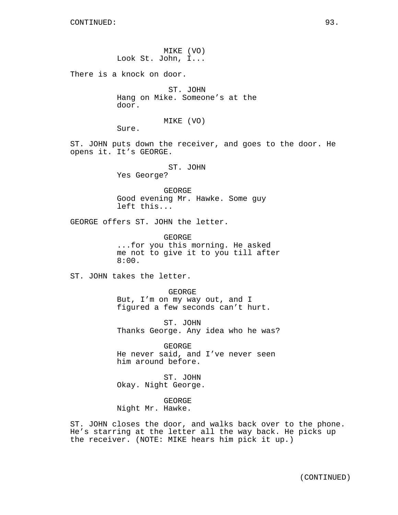MIKE (VO) Look St. John, I...

There is a knock on door.

ST. JOHN Hang on Mike. Someone's at the door.

### MIKE (VO)

Sure.

ST. JOHN puts down the receiver, and goes to the door. He opens it. It's GEORGE.

ST. JOHN

Yes George?

GEORGE Good evening Mr. Hawke. Some guy left this...

GEORGE offers ST. JOHN the letter.

GEORGE ...for you this morning. He asked me not to give it to you till after 8:00.

ST. JOHN takes the letter.

GEORGE But, I'm on my way out, and I figured a few seconds can't hurt.

ST. JOHN Thanks George. Any idea who he was?

GEORGE He never said, and I've never seen him around before.

ST. JOHN Okay. Night George.

GEORGE Night Mr. Hawke.

ST. JOHN closes the door, and walks back over to the phone. He's starring at the letter all the way back. He picks up the receiver. (NOTE: MIKE hears him pick it up.)

(CONTINUED)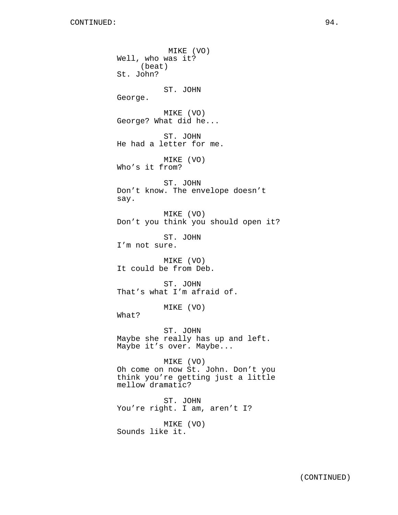MIKE (VO) Well, who was it? (beat) St. John? ST. JOHN George. MIKE (VO) George? What did he... ST. JOHN He had a letter for me. MIKE (VO) Who's it from? ST. JOHN Don't know. The envelope doesn't say. MIKE (VO) Don't you think you should open it? ST. JOHN I'm not sure. MIKE (VO) It could be from Deb. ST. JOHN That's what I'm afraid of. MIKE (VO) What? ST. JOHN Maybe she really has up and left. Maybe it's over. Maybe... MIKE (VO) Oh come on now St. John. Don't you think you're getting just a little mellow dramatic? ST. JOHN You're right. I am, aren't I? MIKE (VO) Sounds like it.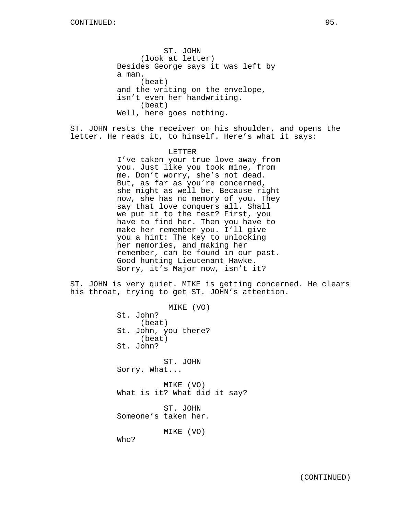ST. JOHN (look at letter) Besides George says it was left by a man. (beat) and the writing on the envelope, isn't even her handwriting. (beat) Well, here goes nothing.

ST. JOHN rests the receiver on his shoulder, and opens the letter. He reads it, to himself. Here's what it says:

> LETTER I've taken your true love away from you. Just like you took mine, from me. Don't worry, she's not dead. But, as far as you're concerned, she might as well be. Because right now, she has no memory of you. They say that love conquers all. Shall we put it to the test? First, you have to find her. Then you have to make her remember you. I'll give you a hint: The key to unlocking her memories, and making her remember, can be found in our past. Good hunting Lieutenant Hawke. Sorry, it's Major now, isn't it?

ST. JOHN is very quiet. MIKE is getting concerned. He clears his throat, trying to get ST. JOHN's attention.

> MIKE (VO) St. John? (beat) St. John, you there? (beat) St. John? ST. JOHN Sorry. What... MIKE (VO) What is it? What did it say? ST. JOHN Someone's taken her. MIKE (VO) Who?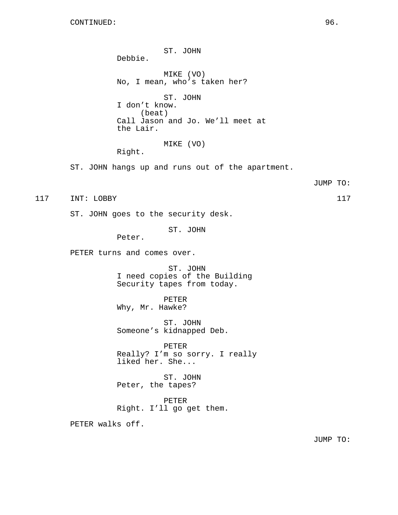ST. JOHN Debbie. MIKE (VO) No, I mean, who's taken her? ST. JOHN I don't know. (beat) Call Jason and Jo. We'll meet at the Lair. MIKE (VO) Right. ST. JOHN hangs up and runs out of the apartment. JUMP TO: 117 INT: LOBBY 117 ST. JOHN goes to the security desk. ST. JOHN Peter. PETER turns and comes over. ST. JOHN I need copies of the Building Security tapes from today. PETER Why, Mr. Hawke? ST. JOHN Someone's kidnapped Deb. PETER Really? I'm so sorry. I really liked her. She... ST. JOHN Peter, the tapes? PETER Right. I'll go get them. PETER walks off.

JUMP TO: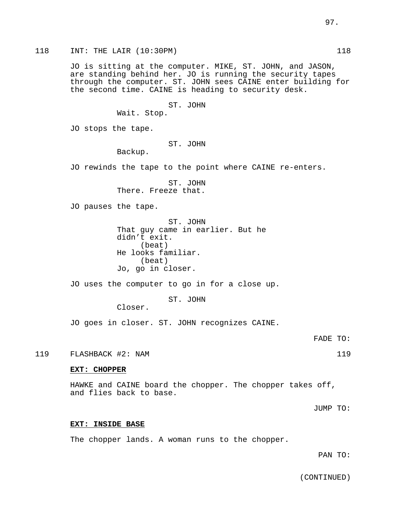118 INT: THE LAIR (10:30PM) 118 JO is sitting at the computer. MIKE, ST. JOHN, and JASON, are standing behind her. JO is running the security tapes through the computer. ST. JOHN sees CAINE enter building for the second time. CAINE is heading to security desk. ST. JOHN Wait. Stop. JO stops the tape. ST. JOHN Backup. JO rewinds the tape to the point where CAINE re-enters. ST. JOHN There. Freeze that. JO pauses the tape. ST. JOHN That guy came in earlier. But he didn't exit. (beat) He looks familiar. (beat) Jo, go in closer. JO uses the computer to go in for a close up. ST. JOHN Closer. JO goes in closer. ST. JOHN recognizes CAINE. FADE TO: 119 FLASHBACK #2: NAM 119 **EXT: CHOPPER** HAWKE and CAINE board the chopper. The chopper takes off, and flies back to base. JUMP TO:

# **EXT: INSIDE BASE**

The chopper lands. A woman runs to the chopper.

PAN TO:

(CONTINUED)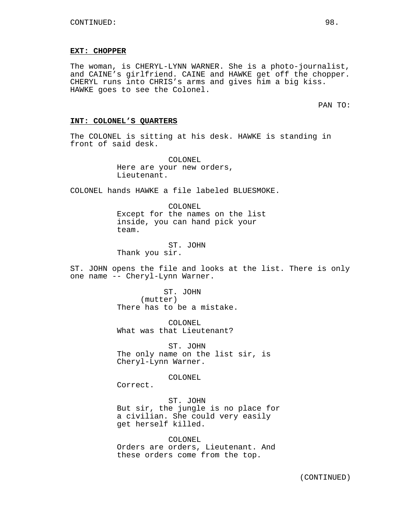#### **EXT: CHOPPER**

The woman, is CHERYL-LYNN WARNER. She is a photo-journalist, and CAINE's girlfriend. CAINE and HAWKE get off the chopper. CHERYL runs into CHRIS's arms and gives him a big kiss. HAWKE goes to see the Colonel.

PAN TO:

### **INT: COLONEL'S QUARTERS**

The COLONEL is sitting at his desk. HAWKE is standing in front of said desk.

> COLONEL Here are your new orders, Lieutenant.

COLONEL hands HAWKE a file labeled BLUESMOKE.

COLONEL Except for the names on the list inside, you can hand pick your team.

ST. JOHN Thank you sir.

ST. JOHN opens the file and looks at the list. There is only one name -- Cheryl-Lynn Warner.

> ST. JOHN (mutter) There has to be a mistake.

COLONEL What was that Lieutenant?

ST. JOHN The only name on the list sir, is Cheryl-Lynn Warner.

COLONEL

Correct.

ST. JOHN But sir, the jungle is no place for a civilian. She could very easily get herself killed.

COLONEL Orders are orders, Lieutenant. And these orders come from the top.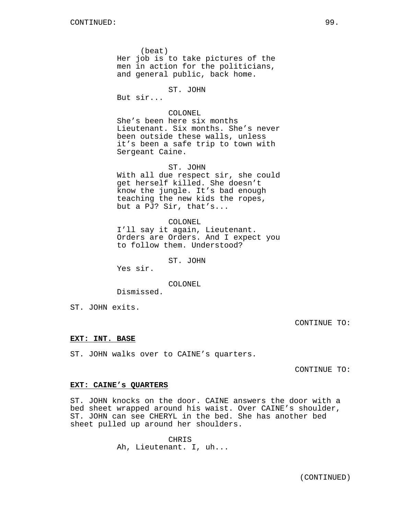(beat) Her job is to take pictures of the men in action for the politicians, and general public, back home.

ST. JOHN

But sir...

### COLONEL

She's been here six months Lieutenant. Six months. She's never been outside these walls, unless it's been a safe trip to town with Sergeant Caine.

ST. JOHN With all due respect sir, she could get herself killed. She doesn't know the jungle. It's bad enough teaching the new kids the ropes,

COLONEL I'll say it again, Lieutenant. Orders are Orders. And I expect you to follow them. Understood?

ST. JOHN

but a PJ? Sir, that's...

Yes sir.

COLONEL

Dismissed.

ST. JOHN exits.

CONTINUE TO:

### **EXT: INT. BASE**

ST. JOHN walks over to CAINE's quarters.

CONTINUE TO:

### **EXT: CAINE's QUARTERS**

ST. JOHN knocks on the door. CAINE answers the door with a bed sheet wrapped around his waist. Over CAINE's shoulder, ST. JOHN can see CHERYL in the bed. She has another bed sheet pulled up around her shoulders.

> CHRIS Ah, Lieutenant. I, uh...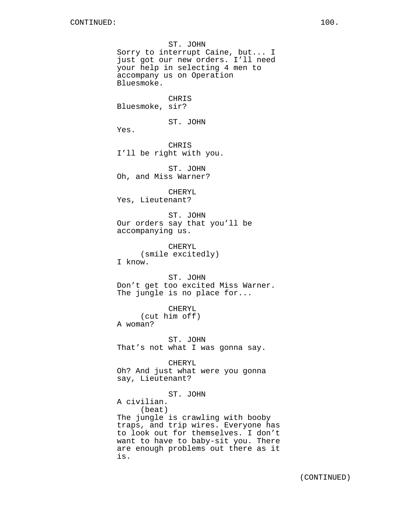ST. JOHN Sorry to interrupt Caine, but... I just got our new orders. I'll need your help in selecting 4 men to accompany us on Operation Bluesmoke. CHRIS Bluesmoke, sir? ST. JOHN Yes. CHRIS I'll be right with you. ST. JOHN Oh, and Miss Warner? CHERYL Yes, Lieutenant? ST. JOHN Our orders say that you'll be accompanying us. CHERYL (smile excitedly) I know. ST. JOHN Don't get too excited Miss Warner. The jungle is no place for... CHERYL (cut him off) A woman? ST. JOHN That's not what I was gonna say. CHERYL Oh? And just what were you gonna say, Lieutenant? ST. JOHN A civilian. (beat) The jungle is crawling with booby traps, and trip wires. Everyone has to look out for themselves. I don't want to have to baby-sit you. There are enough problems out there as it is.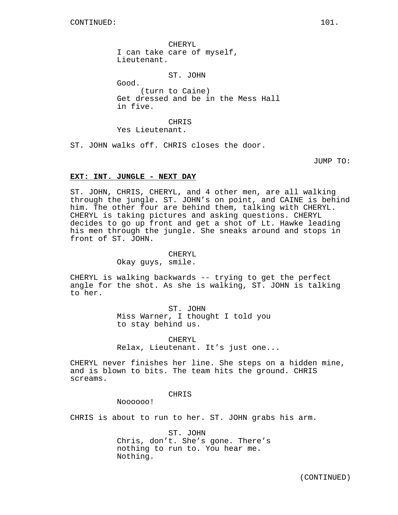CHERYL I can take care of myself, Lieutenant.

ST. JOHN

Good. (turn to Caine) Get dressed and be in the Mess Hall in five.

CHRIS Yes Lieutenant.

ST. JOHN walks off. CHRIS closes the door.

JUMP TO:

## **EXT: INT. JUNGLE - NEXT DAY**

ST. JOHN, CHRIS, CHERYL, and 4 other men, are all walking through the jungle. ST. JOHN's on point, and CAINE is behind him. The other four are behind them, talking with CHERYL. CHERYL is taking pictures and asking questions. CHERYL decides to go up front and get a shot of Lt. Hawke leading his men through the jungle. She sneaks around and stops in front of ST. JOHN.

> CHERYL Okay guys, smile.

CHERYL is walking backwards -- trying to get the perfect angle for the shot. As she is walking, ST. JOHN is talking to her.

> ST. JOHN Miss Warner, I thought I told you to stay behind us.

CHERYL Relax, Lieutenant. It's just one...

CHERYL never finishes her line. She steps on a hidden mine, and is blown to bits. The team hits the ground. CHRIS screams.

CHRIS

Noooooo!

CHRIS is about to run to her. ST. JOHN grabs his arm.

ST. JOHN Chris, don't. She's gone. There's nothing to run to. You hear me. Nothing.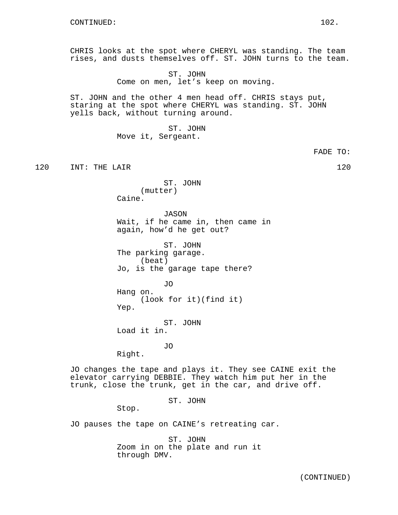CHRIS looks at the spot where CHERYL was standing. The team rises, and dusts themselves off. ST. JOHN turns to the team.

> ST. JOHN Come on men, let's keep on moving.

ST. JOHN and the other 4 men head off. CHRIS stays put, staring at the spot where CHERYL was standing. ST. JOHN yells back, without turning around.

> ST. JOHN Move it, Sergeant.

> > FADE TO:

120 INT: THE LAIR 120 120

ST. JOHN (mutter) Caine.

JASON Wait, if he came in, then came in again, how'd he get out?

ST. JOHN The parking garage. (beat) Jo, is the garage tape there?

JO Hang on. (look for it)(find it) Yep.

ST. JOHN Load it in.

JO

Right.

JO changes the tape and plays it. They see CAINE exit the elevator carrying DEBBIE. They watch him put her in the trunk, close the trunk, get in the car, and drive off.

ST. JOHN

Stop.

JO pauses the tape on CAINE's retreating car.

ST. JOHN Zoom in on the plate and run it through DMV.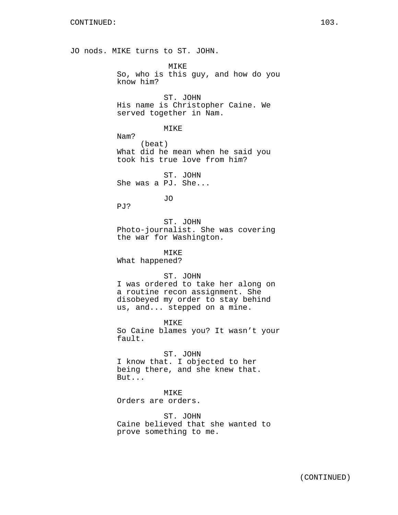JO nods. MIKE turns to ST. JOHN.

MIKE So, who is this guy, and how do you know him?

ST. JOHN His name is Christopher Caine. We served together in Nam.

MIKE

Nam? (beat) What did he mean when he said you took his true love from him?

ST. JOHN She was a PJ. She...

JO

PJ?

ST. JOHN Photo-journalist. She was covering the war for Washington.

MIKE What happened?

ST. JOHN

I was ordered to take her along on a routine recon assignment. She disobeyed my order to stay behind us, and... stepped on a mine.

MIKE So Caine blames you? It wasn't your fault.

ST. JOHN I know that. I objected to her being there, and she knew that. But...

MIKE Orders are orders.

ST. JOHN Caine believed that she wanted to prove something to me.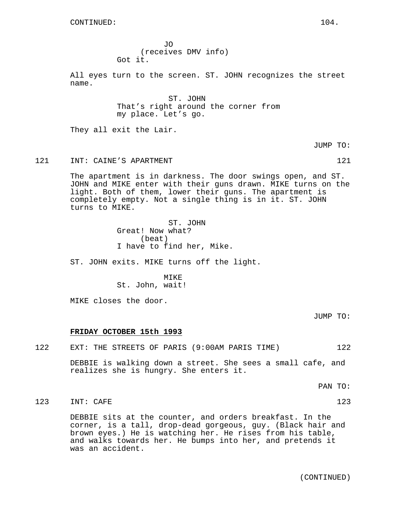JO (receives DMV info) Got it.

All eyes turn to the screen. ST. JOHN recognizes the street name.

> ST. JOHN That's right around the corner from my place. Let's go.

They all exit the Lair.

JUMP TO:

### 121 INT: CAINE'S APARTMENT 121 121

The apartment is in darkness. The door swings open, and ST. JOHN and MIKE enter with their guns drawn. MIKE turns on the light. Both of them, lower their guns. The apartment is completely empty. Not a single thing is in it. ST. JOHN turns to MIKE.

> ST. JOHN Great! Now what? (beat) I have to find her, Mike.

ST. JOHN exits. MIKE turns off the light.

MIKE St. John, wait!

MIKE closes the door.

JUMP TO:

### **FRIDAY OCTOBER 15th 1993**

| 122 |  |  | EXT: THE STREETS OF PARIS (9:00AM PARIS TIME) |  |  |  |  |  |  | 122 |
|-----|--|--|-----------------------------------------------|--|--|--|--|--|--|-----|
|-----|--|--|-----------------------------------------------|--|--|--|--|--|--|-----|

DEBBIE is walking down a street. She sees a small cafe, and realizes she is hungry. She enters it.

PAN TO:

### 123 INT: CAFE 123 123

DEBBIE sits at the counter, and orders breakfast. In the corner, is a tall, drop-dead gorgeous, guy. (Black hair and brown eyes.) He is watching her. He rises from his table, and walks towards her. He bumps into her, and pretends it was an accident.

(CONTINUED)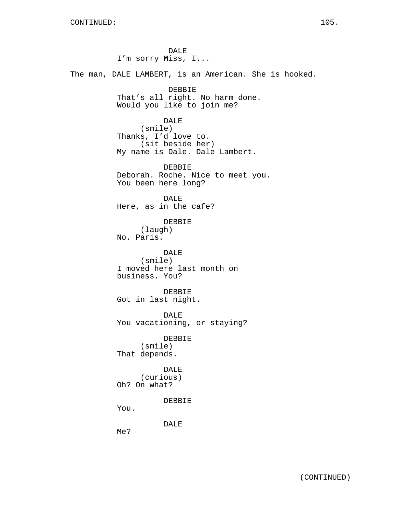DALE I'm sorry Miss, I... The man, DALE LAMBERT, is an American. She is hooked. DEBBIE That's all right. No harm done. Would you like to join me? DALE (smile) Thanks, I'd love to. (sit beside her) My name is Dale. Dale Lambert. DEBBIE Deborah. Roche. Nice to meet you. You been here long? DALE Here, as in the cafe? DEBBIE (laugh) No. Paris. DALE (smile) I moved here last month on business. You? DEBBIE Got in last night. DALE You vacationing, or staying? DEBBIE (smile) That depends. DALE (curious) Oh? On what? DEBBIE You. DALE Me?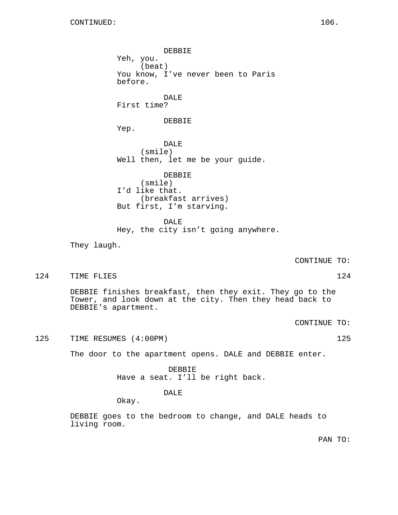DEBBIE Yeh, you. (beat) You know, I've never been to Paris before. DALE First time? DEBBIE Yep. DALE (smile) Well then, let me be your guide. DEBBIE (smile) I'd like that. (breakfast arrives) But first, I'm starving. DALE Hey, the city isn't going anywhere. They laugh. CONTINUE TO: 124 TIME FLIES 124 DEBBIE finishes breakfast, then they exit. They go to the Tower, and look down at the city. Then they head back to DEBBIE's apartment. CONTINUE TO: 125 TIME RESUMES (4:00PM) 125 The door to the apartment opens. DALE and DEBBIE enter. DEBBIE Have a seat. I'll be right back.

Okay.

DEBBIE goes to the bedroom to change, and DALE heads to living room.

DALE

PAN TO: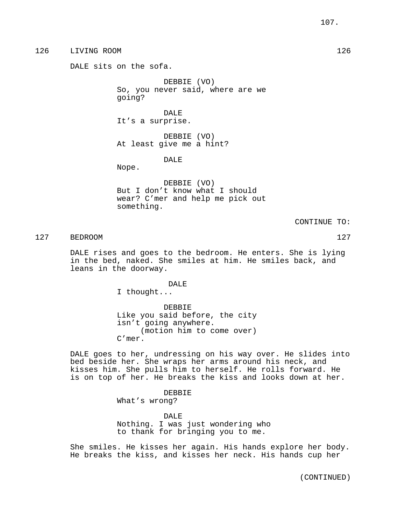# 126 LIVING ROOM 126

DALE sits on the sofa.

DEBBIE (VO) So, you never said, where are we going?

DALE It's a surprise.

DEBBIE (VO) At least give me a hint?

DALE

Nope.

DEBBIE (VO) But I don't know what I should wear? C'mer and help me pick out something.

CONTINUE TO:

127 BEDROOM 127

DALE rises and goes to the bedroom. He enters. She is lying in the bed, naked. She smiles at him. He smiles back, and leans in the doorway.

> DALE I thought...

DEBBIE Like you said before, the city isn't going anywhere. (motion him to come over) C'mer.

DALE goes to her, undressing on his way over. He slides into bed beside her. She wraps her arms around his neck, and kisses him. She pulls him to herself. He rolls forward. He is on top of her. He breaks the kiss and looks down at her.

### DEBBIE

What's wrong?

DALE Nothing. I was just wondering who to thank for bringing you to me.

She smiles. He kisses her again. His hands explore her body. He breaks the kiss, and kisses her neck. His hands cup her

(CONTINUED)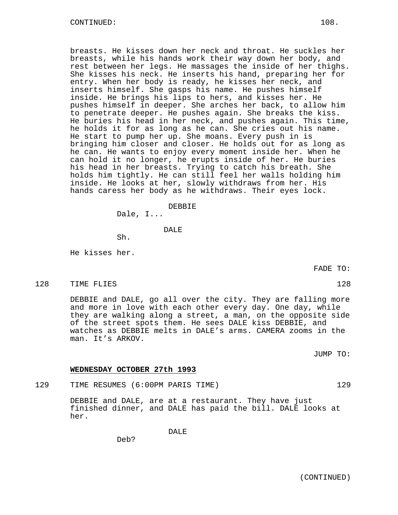breasts. He kisses down her neck and throat. He suckles her breasts, while his hands work their way down her body, and rest between her legs. He massages the inside of her thighs. She kisses his neck. He inserts his hand, preparing her for entry. When her body is ready, he kisses her neck, and inserts himself. She gasps his name. He pushes himself inside. He brings his lips to hers, and kisses her. He pushes himself in deeper. She arches her back, to allow him to penetrate deeper. He pushes again. She breaks the kiss. He buries his head in her neck, and pushes again. This time, he holds it for as long as he can. She cries out his name. He start to pump her up. She moans. Every push in is bringing him closer and closer. He holds out for as long as he can. He wants to enjoy every moment inside her. When he can hold it no longer, he erupts inside of her. He buries his head in her breasts. Trying to catch his breath. She holds him tightly. He can still feel her walls holding him inside. He looks at her, slowly withdraws from her. His hands caress her body as he withdraws. Their eyes lock.

DEBBIE

Dale, I...

DALE

Sh.

He kisses her.

FADE TO:

128 TIME FLIES 128 128

DEBBIE and DALE, go all over the city. They are falling more and more in love with each other every day. One day, while they are walking along a street, a man, on the opposite side of the street spots them. He sees DALE kiss DEBBIE, and watches as DEBBIE melts in DALE's arms. CAMERA zooms in the man. It's ARKOV.

JUMP TO:

### **WEDNESDAY OCTOBER 27th 1993**

129 TIME RESUMES (6:00PM PARIS TIME) 129

DEBBIE and DALE, are at a restaurant. They have just finished dinner, and DALE has paid the bill. DALE looks at her.

DALE

Deb?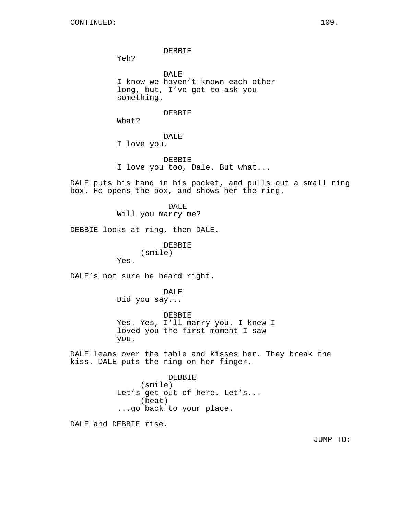DEBBIE

Yeh?

DALE I know we haven't known each other long, but, I've got to ask you something.

DEBBIE

What?

DALE

I love you.

DEBBIE I love you too, Dale. But what...

DALE puts his hand in his pocket, and pulls out a small ring box. He opens the box, and shows her the ring.

> DALE Will you marry me?

DEBBIE looks at ring, then DALE.

DEBBIE (smile)

DALE's not sure he heard right.

Yes.

DALE

Did you say...

DEBBIE Yes. Yes, I'll marry you. I knew I loved you the first moment I saw you.

DALE leans over the table and kisses her. They break the kiss. DALE puts the ring on her finger.

DEBBIE

(smile) Let's get out of here. Let's... (beat) ...go back to your place.

DALE and DEBBIE rise.

JUMP TO: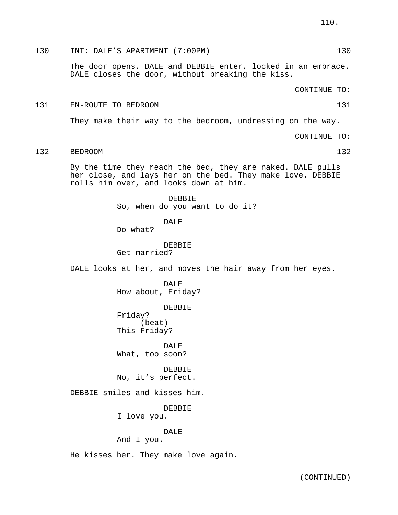# 130 INT: DALE'S APARTMENT (7:00PM) 130

The door opens. DALE and DEBBIE enter, locked in an embrace. DALE closes the door, without breaking the kiss.

CONTINUE TO:

# 131 EN-ROUTE TO BEDROOM 131

They make their way to the bedroom, undressing on the way.

CONTINUE TO:

132 BEDROOM 132

By the time they reach the bed, they are naked. DALE pulls her close, and lays her on the bed. They make love. DEBBIE rolls him over, and looks down at him.

> DEBBIE So, when do you want to do it?

> > DALE

Do what?

DEBBIE Get married?

DALE looks at her, and moves the hair away from her eyes.

DALE. How about, Friday?

DEBBIE

Friday? (beat) This Friday?

DALE What, too soon?

**DEBBIE** No, it's perfect.

DEBBIE smiles and kisses him.

DEBBIE

I love you.

## DALE

And I you.

He kisses her. They make love again.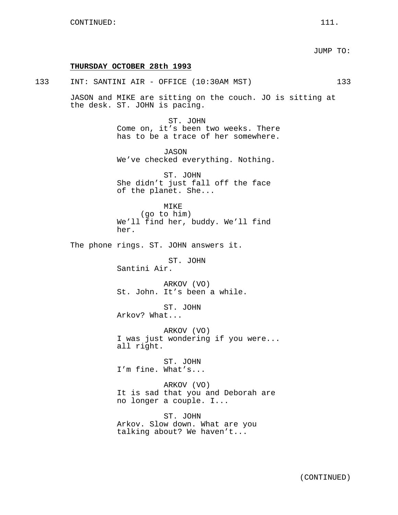JUMP TO:

### **THURSDAY OCTOBER 28th 1993**

133 INT: SANTINI AIR - OFFICE (10:30AM MST) 133

JASON and MIKE are sitting on the couch. JO is sitting at the desk. ST. JOHN is pacing.

> ST. JOHN Come on, it's been two weeks. There has to be a trace of her somewhere.

JASON We've checked everything. Nothing.

ST. JOHN She didn't just fall off the face of the planet. She...

MIKE (go to him) We'll find her, buddy. We'll find her.

The phone rings. ST. JOHN answers it.

ST. JOHN Santini Air.

ARKOV (VO) St. John. It's been a while.

ST. JOHN Arkov? What...

ARKOV (VO) I was just wondering if you were... all right.

ST. JOHN I'm fine. What's...

ARKOV (VO) It is sad that you and Deborah are no longer a couple. I...

ST. JOHN Arkov. Slow down. What are you talking about? We haven't...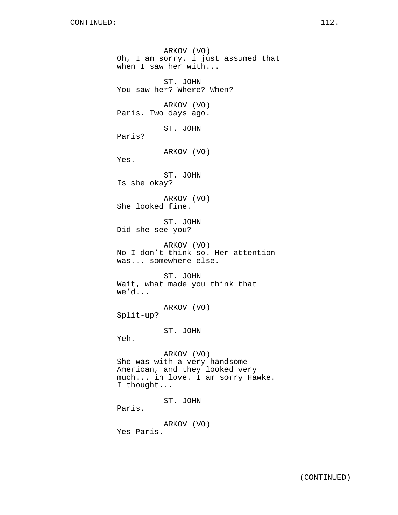ARKOV (VO) Oh, I am sorry. I just assumed that when I saw her with... ST. JOHN You saw her? Where? When? ARKOV (VO) Paris. Two days ago. ST. JOHN Paris? ARKOV (VO) Yes. ST. JOHN Is she okay? ARKOV (VO) She looked fine. ST. JOHN Did she see you? ARKOV (VO) No I don't think so. Her attention was... somewhere else. ST. JOHN Wait, what made you think that we'd... ARKOV (VO) Split-up? ST. JOHN Yeh. ARKOV (VO) She was with a very handsome American, and they looked very much... in love. I am sorry Hawke. I thought... ST. JOHN Paris. ARKOV (VO) Yes Paris.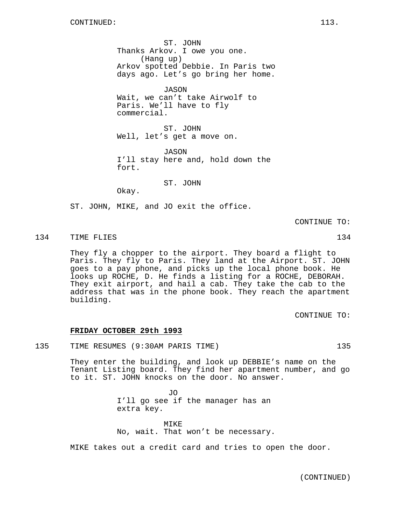ST. JOHN Thanks Arkov. I owe you one. (Hang up) Arkov spotted Debbie. In Paris two days ago. Let's go bring her home.

JASON Wait, we can't take Airwolf to Paris. We'll have to fly commercial.

ST. JOHN Well, let's get a move on.

JASON I'll stay here and, hold down the fort.

ST. JOHN

Okay.

ST. JOHN, MIKE, and JO exit the office.

CONTINUE TO:

134 TIME FLIES 134

They fly a chopper to the airport. They board a flight to Paris. They fly to Paris. They land at the Airport. ST. JOHN goes to a pay phone, and picks up the local phone book. He looks up ROCHE, D. He finds a listing for a ROCHE, DEBORAH. They exit airport, and hail a cab. They take the cab to the address that was in the phone book. They reach the apartment building.

CONTINUE TO:

# **FRIDAY OCTOBER 29th 1993**

135 TIME RESUMES (9:30AM PARIS TIME) 135

They enter the building, and look up DEBBIE's name on the Tenant Listing board. They find her apartment number, and go to it. ST. JOHN knocks on the door. No answer.

> JO I'll go see if the manager has an extra key.

MTK<sub>E</sub> No, wait. That won't be necessary.

MIKE takes out a credit card and tries to open the door.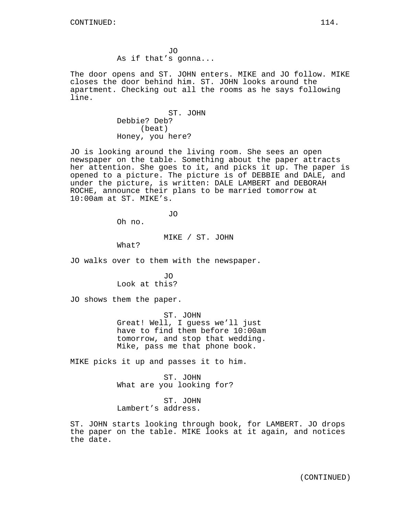JO As if that's gonna...

The door opens and ST. JOHN enters. MIKE and JO follow. MIKE closes the door behind him. ST. JOHN looks around the apartment. Checking out all the rooms as he says following line.

> ST. JOHN Debbie? Deb? (beat) Honey, you here?

JO is looking around the living room. She sees an open newspaper on the table. Something about the paper attracts her attention. She goes to it, and picks it up. The paper is opened to a picture. The picture is of DEBBIE and DALE, and under the picture, is written: DALE LAMBERT and DEBORAH ROCHE, announce their plans to be married tomorrow at 10:00am at ST. MIKE's.

JO

Oh no.

MIKE / ST. JOHN

What?

JO walks over to them with the newspaper.

JO Look at this?

JO shows them the paper.

ST. JOHN Great! Well, I guess we'll just have to find them before 10:00am tomorrow, and stop that wedding. Mike, pass me that phone book.

MIKE picks it up and passes it to him.

ST. JOHN What are you looking for?

ST. JOHN Lambert's address.

ST. JOHN starts looking through book, for LAMBERT. JO drops the paper on the table. MIKE looks at it again, and notices the date.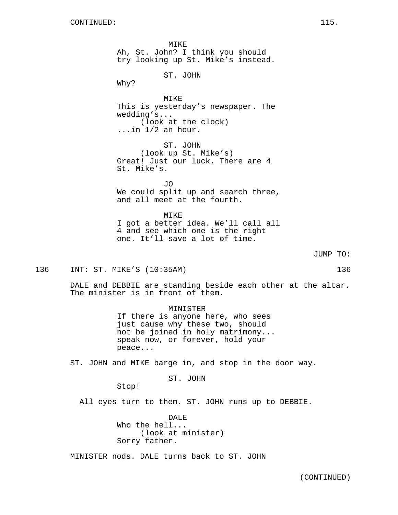MIKE Ah, St. John? I think you should try looking up St. Mike's instead. ST. JOHN Why? MIKE This is yesterday's newspaper. The wedding's... (look at the clock) ...in 1/2 an hour. ST. JOHN (look up St. Mike's) Great! Just our luck. There are 4 St. Mike's. JO We could split up and search three, and all meet at the fourth. MIKE I got a better idea. We'll call all 4 and see which one is the right one. It'll save a lot of time.

JUMP TO:

136 INT: ST. MIKE'S (10:35AM) 136

DALE and DEBBIE are standing beside each other at the altar. The minister is in front of them.

> MINISTER If there is anyone here, who sees just cause why these two, should not be joined in holy matrimony... speak now, or forever, hold your peace...

ST. JOHN and MIKE barge in, and stop in the door way.

ST. JOHN

Stop!

All eyes turn to them. ST. JOHN runs up to DEBBIE.

DALE Who the hell... (look at minister) Sorry father.

MINISTER nods. DALE turns back to ST. JOHN

(CONTINUED)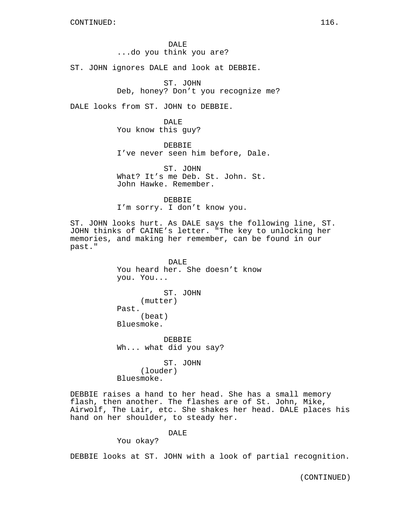DALE ...do you think you are?

ST. JOHN ignores DALE and look at DEBBIE.

ST. JOHN Deb, honey? Don't you recognize me?

DALE looks from ST. JOHN to DEBBIE.

DALE You know this guy?

DEBBIE I've never seen him before, Dale.

ST. JOHN What? It's me Deb. St. John. St. John Hawke. Remember.

DEBBIE

I'm sorry. I don't know you.

ST. JOHN looks hurt. As DALE says the following line, ST. JOHN thinks of CAINE's letter. "The key to unlocking her memories, and making her remember, can be found in our past."

> DALE You heard her. She doesn't know you. You... ST. JOHN (mutter) Past. (beat) Bluesmoke.

DEBBIE Wh... what did you say?

ST. JOHN (louder) Bluesmoke.

DEBBIE raises a hand to her head. She has a small memory flash, then another. The flashes are of St. John, Mike, Airwolf, The Lair, etc. She shakes her head. DALE places his hand on her shoulder, to steady her.

DALE

You okay?

DEBBIE looks at ST. JOHN with a look of partial recognition.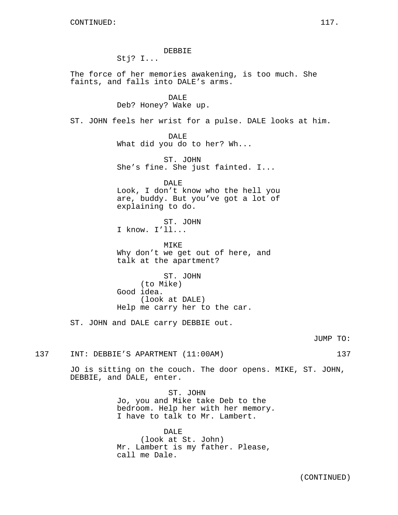DEBBIE Stj? I... The force of her memories awakening, is too much. She faints, and falls into DALE's arms. DALE Deb? Honey? Wake up. ST. JOHN feels her wrist for a pulse. DALE looks at him. DALE What did you do to her? Wh... ST. JOHN She's fine. She just fainted. I... DALE Look, I don't know who the hell you are, buddy. But you've got a lot of explaining to do. ST. JOHN I know. I'll... MIKE Why don't we get out of here, and talk at the apartment? ST. JOHN (to Mike) Good idea. (look at DALE) Help me carry her to the car. ST. JOHN and DALE carry DEBBIE out. 137 INT: DEBBIE'S APARTMENT (11:00AM) 137

> JO is sitting on the couch. The door opens. MIKE, ST. JOHN, DEBBIE, and DALE, enter.

> > ST. JOHN Jo, you and Mike take Deb to the bedroom. Help her with her memory. I have to talk to Mr. Lambert.

DALE (look at St. John) Mr. Lambert is my father. Please, call me Dale.

JUMP TO: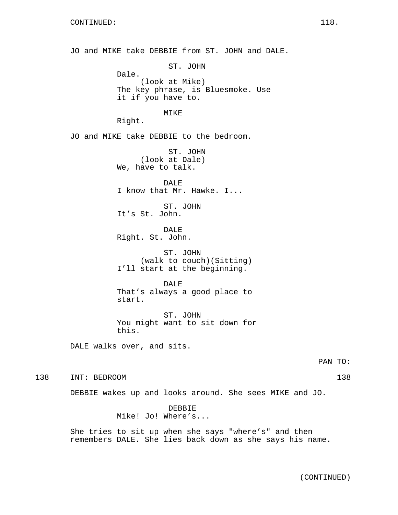CONTINUED: 118. JO and MIKE take DEBBIE from ST. JOHN and DALE. ST. JOHN Dale. (look at Mike) The key phrase, is Bluesmoke. Use it if you have to. MIKE Right. JO and MIKE take DEBBIE to the bedroom. ST. JOHN (look at Dale) We, have to talk. DALE I know that Mr. Hawke. I... ST. JOHN It's St. John. DALE Right. St. John. ST. JOHN (walk to couch)(Sitting) I'll start at the beginning. DALE. That's always a good place to start. ST. JOHN You might want to sit down for this. DALE walks over, and sits. 138 INT: BEDROOM 138 DEBBIE wakes up and looks around. She sees MIKE and JO. DEBBIE Mike! Jo! Where's... She tries to sit up when she says "where's" and then remembers DALE. She lies back down as she says his name.

PAN TO: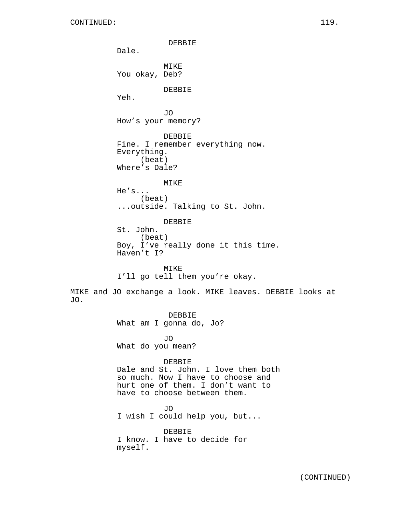JO.

DEBBIE Dale. MIKE You okay, Deb? DEBBIE Yeh. JO How's your memory? DEBBIE Fine. I remember everything now. Everything. (beat) Where's Dale? MIKE He's... (beat) ...outside. Talking to St. John. DEBBIE St. John. (beat) Boy, I've really done it this time. Haven't I? MIKE I'll go tell them you're okay. MIKE and JO exchange a look. MIKE leaves. DEBBIE looks at DEBBIE What am I gonna do, Jo? JO What do you mean? DEBBIE Dale and St. John. I love them both so much. Now I have to choose and hurt one of them. I don't want to have to choose between them. JO I wish I could help you, but... DEBBIE I know. I have to decide for myself.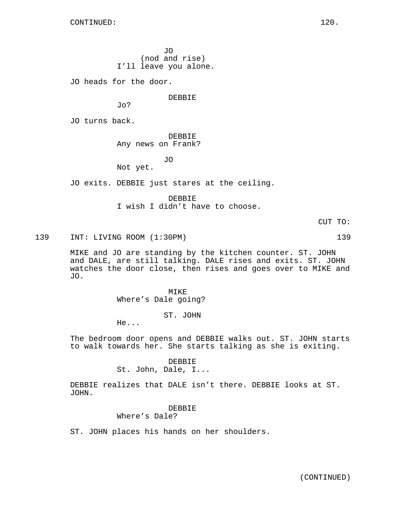JO (nod and rise) I'll leave you alone.

JO heads for the door.

DEBBIE

Jo?

JO turns back.

DEBBIE Any news on Frank?

JO

Not yet.

JO exits. DEBBIE just stares at the ceiling.

DEBBIE

I wish I didn't have to choose.

CUT TO:

139 INT: LIVING ROOM (1:30PM) 139

MIKE and JO are standing by the kitchen counter. ST. JOHN and DALE, are still talking. DALE rises and exits. ST. JOHN watches the door close, then rises and goes over to MIKE and JO.

> MIKE Where's Dale going?

> > ST. JOHN

He...

The bedroom door opens and DEBBIE walks out. ST. JOHN starts to walk towards her. She starts talking as she is exiting.

> DEBBIE St. John, Dale, I...

DEBBIE realizes that DALE isn't there. DEBBIE looks at ST. JOHN.

> DEBBIE Where's Dale?

ST. JOHN places his hands on her shoulders.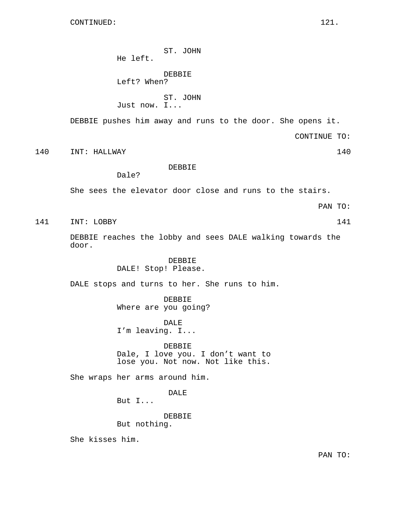CONTINUED: 121.

ST. JOHN He left.

DEBBIE Left? When?

Dale?

ST. JOHN Just now. I...

DEBBIE pushes him away and runs to the door. She opens it.

CONTINUE TO:

140 INT: HALLWAY 140

DEBBIE

She sees the elevator door close and runs to the stairs.

PAN TO:

141 INT: LOBBY 141

DEBBIE reaches the lobby and sees DALE walking towards the door.

> DEBBIE DALE! Stop! Please.

DALE stops and turns to her. She runs to him.

DEBBIE Where are you going?

DALE I'm leaving. I...

DEBBIE Dale, I love you. I don't want to lose you. Not now. Not like this.

She wraps her arms around him.

DALE

But I...

DEBBIE

But nothing.

She kisses him.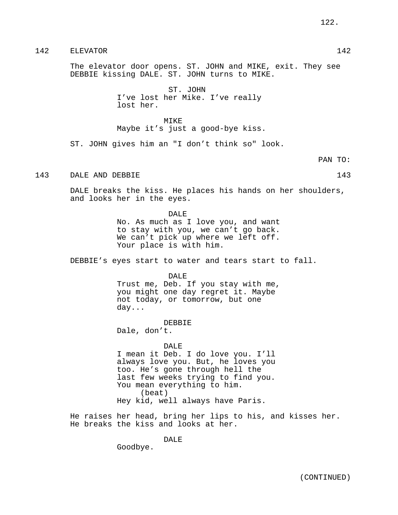# 142 ELEVATOR 142

The elevator door opens. ST. JOHN and MIKE, exit. They see DEBBIE kissing DALE. ST. JOHN turns to MIKE.

> ST. JOHN I've lost her Mike. I've really lost her.

MIKE Maybe it's just a good-bye kiss.

ST. JOHN gives him an "I don't think so" look.

PAN TO:

# 143 DALE AND DEBBIE 143 143

DALE breaks the kiss. He places his hands on her shoulders, and looks her in the eyes.

DALE

No. As much as I love you, and want to stay with you, we can't go back. We can't pick up where we left off. Your place is with him.

DEBBIE's eyes start to water and tears start to fall.

### DALE

Trust me, Deb. If you stay with me, you might one day regret it. Maybe not today, or tomorrow, but one day...

DEBBIE

Dale, don't.

### DALE

I mean it Deb. I do love you. I'll always love you. But, he loves you too. He's gone through hell the last few weeks trying to find you. You mean everything to him. (beat) Hey kid, well always have Paris.

He raises her head, bring her lips to his, and kisses her. He breaks the kiss and looks at her.

DALE

Goodbye.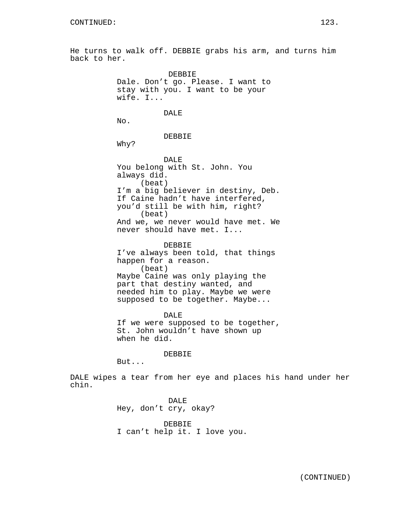He turns to walk off. DEBBIE grabs his arm, and turns him back to her.

> DEBBIE Dale. Don't go. Please. I want to stay with you. I want to be your wife. I... DALE No. DEBBIE Why? DALE You belong with St. John. You always did. (beat) I'm a big believer in destiny, Deb. If Caine hadn't have interfered, you'd still be with him, right? (beat) And we, we never would have met. We

never should have met. I...

DEBBIE I've always been told, that things happen for a reason. (beat) Maybe Caine was only playing the part that destiny wanted, and needed him to play. Maybe we were supposed to be together. Maybe...

DALE If we were supposed to be together, St. John wouldn't have shown up when he did.

DEBBIE

But...

DALE wipes a tear from her eye and places his hand under her chin.

> DALE Hey, don't cry, okay?

DEBBIE I can't help it. I love you.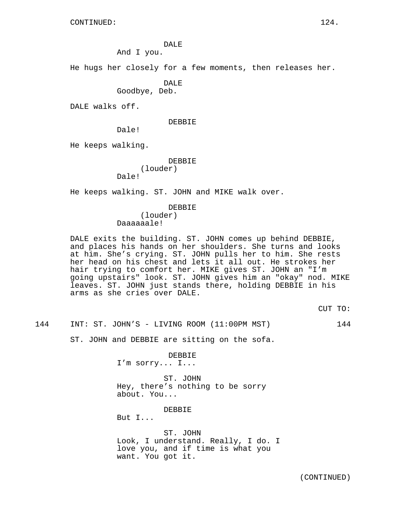DALE

And I you.

He hugs her closely for a few moments, then releases her.

DALE

Goodbye, Deb.

DALE walks off.

DEBBIE

Dale!

He keeps walking.

DEBBIE

(louder) Dale!

He keeps walking. ST. JOHN and MIKE walk over.

DEBBIE

(louder) Daaaaaale!

DALE exits the building. ST. JOHN comes up behind DEBBIE, and places his hands on her shoulders. She turns and looks at him. She's crying. ST. JOHN pulls her to him. She rests her head on his chest and lets it all out. He strokes her hair trying to comfort her. MIKE gives ST. JOHN an "I'm going upstairs" look. ST. JOHN gives him an "okay" nod. MIKE leaves. ST. JOHN just stands there, holding DEBBIE in his arms as she cries over DALE.

CUT TO:

144 INT: ST. JOHN'S - LIVING ROOM (11:00PM MST) 144

ST. JOHN and DEBBIE are sitting on the sofa.

DEBBIE I'm sorry... I...

ST. JOHN Hey, there's nothing to be sorry about. You...

DEBBIE

But I...

ST. JOHN Look, I understand. Really, I do. I love you, and if time is what you want. You got it.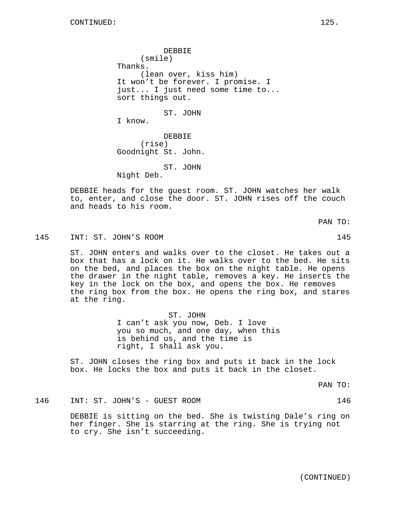DEBBIE (smile) Thanks. (lean over, kiss him) It won't be forever. I promise. I just... I just need some time to... sort things out. ST. JOHN I know. DEBBIE

(rise) Goodnight St. John.

ST. JOHN Night Deb.

DEBBIE heads for the guest room. ST. JOHN watches her walk to, enter, and close the door. ST. JOHN rises off the couch and heads to his room.

PAN TO:

145 INT: ST. JOHN'S ROOM 145

ST. JOHN enters and walks over to the closet. He takes out a box that has a lock on it. He walks over to the bed. He sits on the bed, and places the box on the night table. He opens the drawer in the night table, removes a key. He inserts the key in the lock on the box, and opens the box. He removes the ring box from the box. He opens the ring box, and stares at the ring.

> ST. JOHN I can't ask you now, Deb. I love you so much, and one day, when this is behind us, and the time is right, I shall ask you.

ST. JOHN closes the ring box and puts it back in the lock box. He locks the box and puts it back in the closet.

PAN TO:

146 INT: ST. JOHN'S - GUEST ROOM 146

DEBBIE is sitting on the bed. She is twisting Dale's ring on her finger. She is starring at the ring. She is trying not to cry. She isn't succeeding.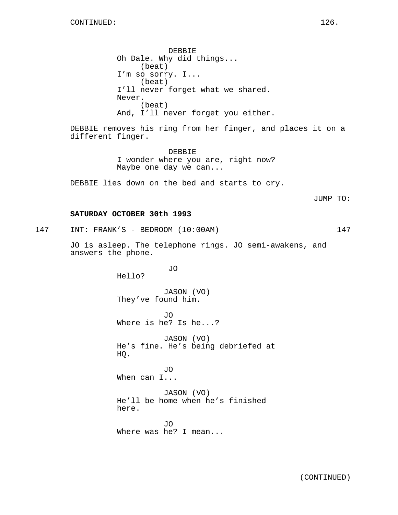DEBBIE Oh Dale. Why did things... (beat) I'm so sorry. I... (beat) I'll never forget what we shared. Never. (beat) And, I'll never forget you either.

DEBBIE removes his ring from her finger, and places it on a different finger.

> DEBBIE I wonder where you are, right now? Maybe one day we can...

DEBBIE lies down on the bed and starts to cry.

JUMP TO:

## **SATURDAY OCTOBER 30th 1993**

147 INT: FRANK'S - BEDROOM (10:00AM) 147

JO is asleep. The telephone rings. JO semi-awakens, and answers the phone.

JO

Hello?

JASON (VO) They've found him.

JO Where is he? Is he...?

JASON (VO) He's fine. He's being debriefed at HQ.

JO When can I...

JASON (VO) He'll be home when he's finished here.

JO Where was he? I mean...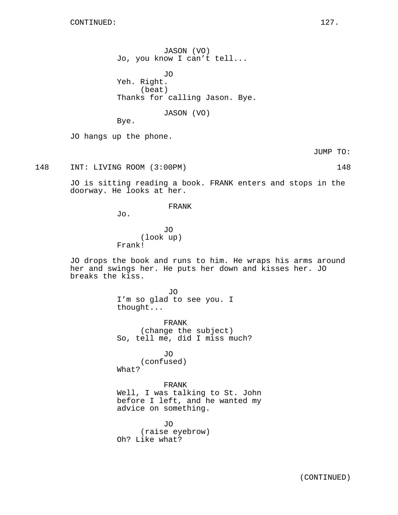JO hangs up the phone.

Bye.

JUMP TO:

148 INT: LIVING ROOM (3:00PM) 148

JO is sitting reading a book. FRANK enters and stops in the doorway. He looks at her.

FRANK

JASON (VO) Jo, you know I can't tell...

Thanks for calling Jason. Bye.

JASON (VO)

JO

Yeh. Right.

(beat)

Jo.

JO (look up) Frank!

JO drops the book and runs to him. He wraps his arms around her and swings her. He puts her down and kisses her. JO breaks the kiss.

> JO I'm so glad to see you. I thought...

FRANK (change the subject) So, tell me, did I miss much?

JO (confused) What?

FRANK Well, I was talking to St. John before I left, and he wanted my advice on something.

JO (raise eyebrow) Oh? Like what?

(CONTINUED)